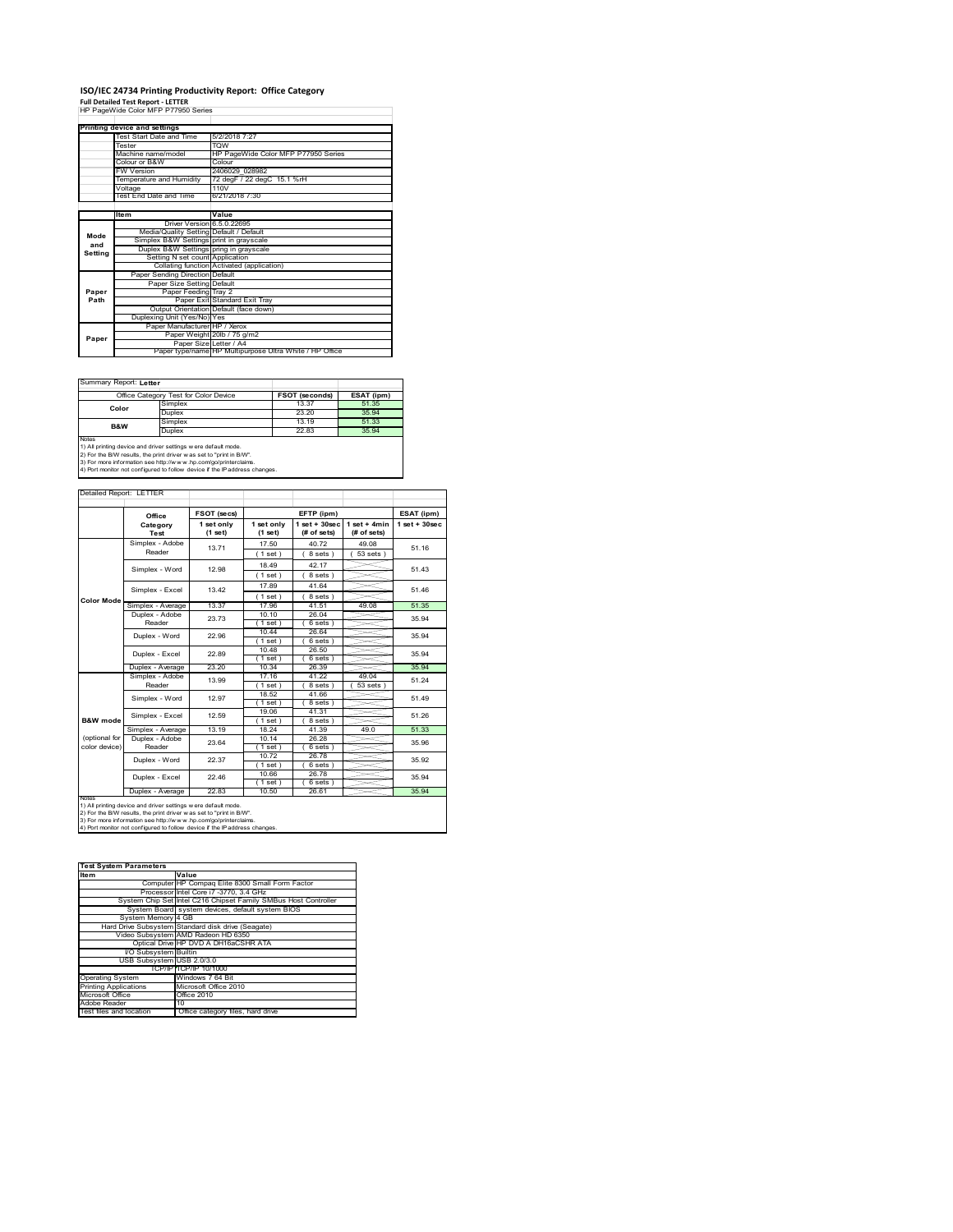# **ISO/IEC 24734 Printing Productivity Report: Office Category Full Detailed Test Report ‐ LETTER** HP PageWide Color MFP P77950 Series

|         | Printing device and settings            |                                                         |  |  |  |  |
|---------|-----------------------------------------|---------------------------------------------------------|--|--|--|--|
|         | Test Start Date and Time                | 5/2/2018 7:27                                           |  |  |  |  |
|         | Tester                                  | <b>TOW</b>                                              |  |  |  |  |
|         | Machine name/model                      | HP PageWide Color MFP P77950 Series                     |  |  |  |  |
|         | Colour or B&W                           | Colour                                                  |  |  |  |  |
|         | <b>FW Version</b>                       | 2406029 028982                                          |  |  |  |  |
|         | Temperature and Humidity                | 72 degF / 22 degC 15.1 %rH                              |  |  |  |  |
|         | Voltage                                 | 110V                                                    |  |  |  |  |
|         | Test End Date and Time                  | 6/21/2018 7:30                                          |  |  |  |  |
|         |                                         |                                                         |  |  |  |  |
|         | Item                                    | Value                                                   |  |  |  |  |
|         | Driver Version 6.5.0.22695              |                                                         |  |  |  |  |
| Mode    | Media/Quality Setting Default / Default |                                                         |  |  |  |  |
| and     | Simplex B&W Settings print in grayscale |                                                         |  |  |  |  |
| Setting | Duplex B&W Settings pring in grayscale  |                                                         |  |  |  |  |
|         | Setting N set count Application         |                                                         |  |  |  |  |
|         |                                         | Collating function Activated (application)              |  |  |  |  |
|         | Paper Sending Direction Default         |                                                         |  |  |  |  |
|         | Paper Size Setting Default              |                                                         |  |  |  |  |
| Paper   | Paper Feeding Tray 2                    |                                                         |  |  |  |  |
| Path    |                                         | Paper Exit Standard Exit Tray                           |  |  |  |  |
|         |                                         | Output Orientation Default (face down)                  |  |  |  |  |
|         | Duplexing Unit (Yes/No) Yes             |                                                         |  |  |  |  |
|         | Paper Manufacturer HP / Xerox           |                                                         |  |  |  |  |
| Paper   |                                         | Paper Weight 20lb / 75 g/m2                             |  |  |  |  |
|         | Paper Size Letter / A4                  |                                                         |  |  |  |  |
|         |                                         | Paper type/name HP Multipurpose Ultra White / HP Office |  |  |  |  |

 $\overline{\phantom{a}}$ 

Summary Report: **Letter**

| Office Category Test for Color Device                                      |                                                                | FSOT (seconds) | ESAT (ipm) |  |  |
|----------------------------------------------------------------------------|----------------------------------------------------------------|----------------|------------|--|--|
| Color                                                                      | Simplex                                                        | 13.37          | 51.35      |  |  |
|                                                                            | Duplex                                                         | 23.20          | 35.94      |  |  |
| <b>B&amp;W</b>                                                             | Simplex                                                        | 13 19          | 51.33      |  |  |
|                                                                            | <b>Duplex</b>                                                  | 22.83          |            |  |  |
| Notes                                                                      |                                                                |                |            |  |  |
|                                                                            | 1) All printing device and driver settings w ere default mode. |                |            |  |  |
| 2) For the B/W results, the print driver was set to "print in B/W".        |                                                                |                |            |  |  |
| 3) For more information see http://www.hp.com/go/printerclaims.            |                                                                |                |            |  |  |
| 4) Port monitor not configured to follow device if the IP address changes. |                                                                |                |            |  |  |

| Detailed Report: LETTER |  |  |
|-------------------------|--|--|

| Detailed Report: LETTER        |                           |                       |                       |                                |                               |                    |
|--------------------------------|---------------------------|-----------------------|-----------------------|--------------------------------|-------------------------------|--------------------|
|                                | Office                    | FSOT (secs)           |                       | EFTP (ipm)                     |                               | ESAT (ipm)         |
|                                | Category<br>Test          | 1 set only<br>(1 set) | 1 set only<br>(1 set) | $1$ set + 30sec<br>(# of sets) | $1$ set + 4min<br>(# of sets) | $1$ set + $30$ sec |
|                                | Simplex - Adobe<br>Reader | 13.71                 | 17.50<br>(1 set)      | 40.72<br>8 sets)               | 49.08<br>$53 sets$ )          | 51.16              |
|                                | Simplex - Word            | 12.98                 | 18 49<br>(1 set)      | 42.17<br>8 sets)               |                               | 51 43              |
|                                | Simplex - Excel           | 13.42                 | 17.89<br>(1 set)      | 41.64<br>8 sets)               |                               | 51 46              |
| <b>Color Mode</b>              | Simplex - Average         | 13.37                 | 17.96                 | 41.51                          | 49.08                         | 51.35              |
|                                | Duplex - Adobe<br>Reader  | 23.73                 | 10.10<br>$1$ set)     | 26.04<br>6 sets)               |                               | 35.94              |
|                                | Duplex - Word             | 22.96                 | 10.44<br>(1 set)      | 26.64<br>6 sets                |                               | 35 94              |
|                                | Duplex - Excel            | 22.89                 | 10.48<br>$1$ set)     | 26.50<br>6 sets)               |                               | 35 94              |
|                                | Duplex - Average          | 23 20                 | 10.34                 | 26.39                          |                               | 35 94              |
|                                | Simplex - Adobe<br>Reader | 13.99                 | 17.16<br>(1 set)      | 41 22<br>8 sets)               | 49.04<br>53 sets              | 51.24              |
|                                | Simplex - Word            | 12.97                 | 18.52<br>(1 set)      | 41.66<br>8 sets)               |                               | 51 49              |
| <b>B&amp;W</b> mode            | Simplex - Excel           | 12.59                 | 19.06<br>(1 set)      | 41.31<br>8 sets)               |                               | 51.26              |
|                                | Simplex - Average         | 13.19                 | 18 24                 | 41.39                          | 49.0                          | 51.33              |
| (optional for<br>color device) | Duplex - Adobe<br>Reader  | 23.64                 | 10.14<br>(1 set)      | 26.28<br>6 sets)               |                               | 35.96              |
|                                | Duplex - Word             | 22.37                 | 10.72<br>(1 set )     | 26.78<br>6 sets)               |                               | 35.92              |
|                                | Duplex - Excel            | 22.46                 | 10.66<br>(1 set)      | 26.78<br>6 sets)               |                               | 35.94              |
|                                | Duplex - Average          | 22.83                 | 10.50                 | 26.61                          |                               | 35.94              |

1) All printing device and driver settings were default mode.<br>2) For the B/W results, the print driver was set to "print in B/W".<br>3) For more information see http://www.hp.com/go/printerclaims.<br>4) Port monitor not configur

| <b>Test System Parameters</b> |                                                                 |  |  |  |
|-------------------------------|-----------------------------------------------------------------|--|--|--|
| <b>Item</b>                   | Value                                                           |  |  |  |
|                               | Computer HP Compag Elite 8300 Small Form Factor                 |  |  |  |
|                               | Processor Intel Core i7 -3770, 3.4 GHz                          |  |  |  |
|                               | System Chip Set Intel C216 Chipset Family SMBus Host Controller |  |  |  |
|                               | System Board system devices, default system BIOS                |  |  |  |
| System Memory 4 GB            |                                                                 |  |  |  |
|                               | Hard Drive Subsystem Standard disk drive (Seagate)              |  |  |  |
|                               | Video Subsystem AMD Radeon HD 6350                              |  |  |  |
|                               | Optical Drive HP DVD A DH16aCSHR ATA                            |  |  |  |
| <b>VO Subsystem Builtin</b>   |                                                                 |  |  |  |
| USB Subsystem USB 2.0/3.0     |                                                                 |  |  |  |
|                               | TCP/IPITCP/IP 10/1000                                           |  |  |  |
| <b>Operating System</b>       | Windows 7 64 Bit                                                |  |  |  |
| <b>Printing Applications</b>  | Microsoft Office 2010                                           |  |  |  |
| Microsoft Office              | Office 2010                                                     |  |  |  |
| Adobe Reader                  | 10                                                              |  |  |  |
| Test files and location       | Office category files, hard drive                               |  |  |  |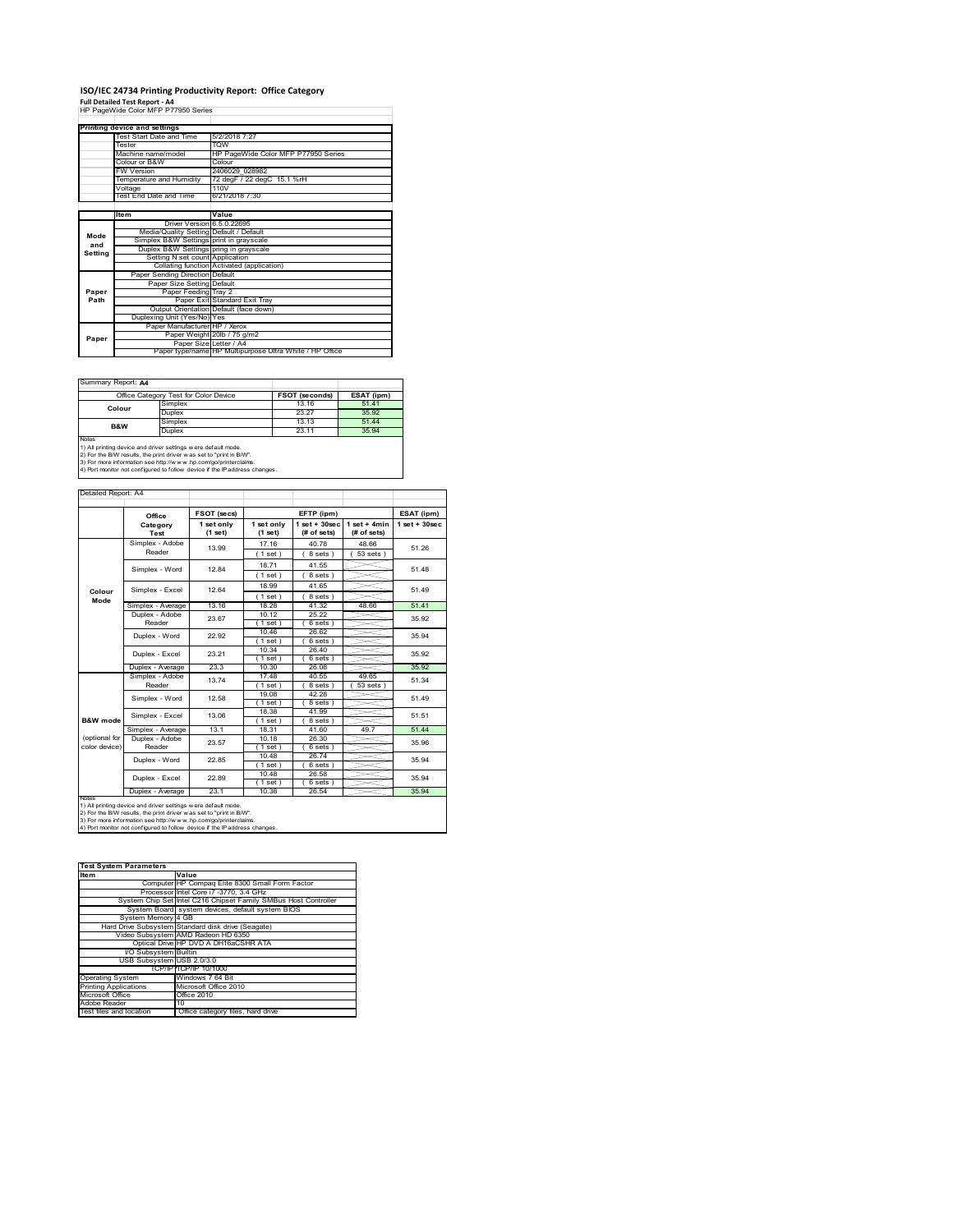## **ISO/IEC 24734 Printing Productivity Report: Office Category**

**Full Detailed Test Report ‐ A4** HP PageWide Color MFP P77950 Series

|         | Printing device and settings            |                                                         |  |  |  |
|---------|-----------------------------------------|---------------------------------------------------------|--|--|--|
|         | Test Start Date and Time                | 5/2/2018 7:27                                           |  |  |  |
|         | Tester                                  | <b>TOW</b>                                              |  |  |  |
|         | Machine name/model                      | HP PageWide Color MFP P77950 Series                     |  |  |  |
|         | Colour or B&W                           | Colour                                                  |  |  |  |
|         | <b>FW Version</b>                       | 2406029 028982                                          |  |  |  |
|         | Temperature and Humidity                | 72 degF / 22 degC 15.1 %rH                              |  |  |  |
|         | Voltage                                 | 110V                                                    |  |  |  |
|         | Test End Date and Time                  | 6/21/2018 7:30                                          |  |  |  |
|         |                                         |                                                         |  |  |  |
|         | ltem                                    | Value                                                   |  |  |  |
|         | Driver Version 6.5.0.22695              |                                                         |  |  |  |
| Mode    | Media/Quality Setting Default / Default |                                                         |  |  |  |
| and     | Simplex B&W Settings print in grayscale |                                                         |  |  |  |
|         | Duplex B&W Settings pring in grayscale  |                                                         |  |  |  |
| Setting | Setting N set count Application         |                                                         |  |  |  |
|         |                                         | Collating function Activated (application)              |  |  |  |
|         | Paper Sending Direction Default         |                                                         |  |  |  |
|         | Paper Size Setting Default              |                                                         |  |  |  |
| Paper   | Paper Feeding Tray 2                    |                                                         |  |  |  |
| Path    |                                         | Paper Exit Standard Exit Tray                           |  |  |  |
|         |                                         | Output Orientation Default (face down)                  |  |  |  |
|         | Duplexing Unit (Yes/No) Yes             |                                                         |  |  |  |
|         | Paper Manufacturer HP / Xerox           |                                                         |  |  |  |
| Paper   |                                         | Paper Weight 20lb / 75 g/m2                             |  |  |  |
|         | Paper Size Letter / A4                  |                                                         |  |  |  |
|         |                                         | Paper type/name HP Multipurpose Ultra White / HP Office |  |  |  |

 $\overline{\phantom{a}}$ 

Summary Report: **A4**

| Office Category Test for Color Device                                                                                                          |         | FSOT (seconds) | ESAT (ipm) |  |  |  |
|------------------------------------------------------------------------------------------------------------------------------------------------|---------|----------------|------------|--|--|--|
| Colour                                                                                                                                         | Simplex | 13.16          | 51.41      |  |  |  |
|                                                                                                                                                | Duplex  | 23.27          | 35.92      |  |  |  |
| B&W                                                                                                                                            | Simplex | 13 13          | 51 44      |  |  |  |
|                                                                                                                                                | Duplex  | 23.11          | 35.94      |  |  |  |
| Notes<br>1) All printing device and driver settings w ere default mode.<br>2) For the B/W results, the print driver was set to "print in B/W". |         |                |            |  |  |  |

2) For the B/W results, the print driver w as set to "print in B/W".<br>3) For more information see http://w w w .hp.com/go/printerclaims.<br>4) Port monitor not configured to follow device if the IP address changes.

| Detailed Report: A4            |                           |                       |                       |                                  |                               |                    |
|--------------------------------|---------------------------|-----------------------|-----------------------|----------------------------------|-------------------------------|--------------------|
|                                |                           |                       |                       |                                  |                               |                    |
|                                | Office                    | FSOT (secs)           |                       | EFTP (ipm)                       |                               | ESAT (ipm)         |
|                                | Category<br>Test          | 1 set only<br>(1 set) | 1 set only<br>(1 set) | $1$ set $+30$ sec<br>(# of sets) | $1$ set + 4min<br>(# of sets) | $1$ set + $30$ sec |
|                                | Simplex - Adobe<br>Reader | 13.99                 | 17 16<br>(1 set)      | 40.78<br>8 sets)                 | 48.66<br>$53 sets$ )          | 51 26              |
|                                | Simplex - Word            | 1284                  | 18 71<br>(1 set)      | 41.55<br>8 sets)                 |                               | 51 48              |
| Colour<br>Mode                 | Simplex - Excel           | 12.64                 | 18.99<br>(1 set)      | 41.65<br>8 sets)                 |                               | 51 49              |
|                                | Simplex - Average         | 13.16                 | 18.28                 | 41.32                            | 48.66                         | 51.41              |
|                                | Duplex - Adobe<br>Reader  | 23.67                 | 10.12<br>(1 set)      | 25.22<br>6 sets)                 |                               | 35.92              |
|                                | Duplex - Word             | 22.92                 | 10.46<br>(1 set)      | 26.62<br>$6 sets$ )              |                               | 35.94              |
|                                | Duplex - Excel            | 23 21                 | 10.34<br>(1 set )     | 26.40<br>6 sets)                 |                               | 35.92              |
|                                | Duplex - Average          | 23.3                  | 10.30                 | 26.08                            |                               | 35.92              |
|                                | Simplex - Adobe<br>Reader | 13.74                 | 17 48<br>(1 set)      | 40.55<br>8 sets)                 | 49.65<br>$53$ sets            | 51.34              |
|                                | Simplex - Word            | 12.58                 | 19.08<br>(1 set)      | 42 28<br>8 sets)                 |                               | 51 49              |
| B&W mode                       | Simplex - Excel           | 13.06                 | 18.38<br>(1 set)      | 41.99<br>8 sets)                 |                               | 51.51              |
|                                | Simplex - Average         | 13.1                  | 18.31                 | 41.60                            | 497                           | 51.44              |
| (optional for<br>color device) | Duplex - Adobe<br>Reader  | 23.57                 | 10.18<br>(1 set)      | 26.30<br>$6 sets$ )              |                               | 35.96              |
|                                | Duplex - Word             | 22.85                 | 10.48<br>$1$ set)     | 26.74<br>6 sets)                 |                               | 35 94              |
|                                | Duplex - Excel            | 22.89                 | 10.48<br>$1$ set $1$  | 26.58<br>6 sets)                 |                               | 35.94              |
| <b>NOtes</b>                   | Duplex - Average          | 23.1                  | 10.38                 | 26.54                            |                               | 35.94              |

notes<br>1) All printing device and driver settings were default mode.<br>2) For the B/W results, the print driver was set to "print in B/W".<br>3) For more information see http://www.hp.com/go/printerclaims.<br>4) Por morator not con

| <b>Test System Parameters</b> |                                                                 |  |  |  |
|-------------------------------|-----------------------------------------------------------------|--|--|--|
| <b>Item</b>                   | Value                                                           |  |  |  |
|                               | Computer HP Compag Elite 8300 Small Form Factor                 |  |  |  |
|                               | Processor Intel Core i7 -3770, 3.4 GHz                          |  |  |  |
|                               | System Chip Set Intel C216 Chipset Family SMBus Host Controller |  |  |  |
|                               | System Board system devices, default system BIOS                |  |  |  |
| System Memory 4 GB            |                                                                 |  |  |  |
|                               | Hard Drive Subsystem Standard disk drive (Seagate)              |  |  |  |
|                               | Video Subsystem AMD Radeon HD 6350                              |  |  |  |
|                               | Optical Drive HP DVD A DH16aCSHR ATA                            |  |  |  |
| I/O Subsystem Builtin         |                                                                 |  |  |  |
| USB Subsystem USB 2.0/3.0     |                                                                 |  |  |  |
|                               | TCP/IPITCP/IP 10/1000                                           |  |  |  |
| <b>Operating System</b>       | Windows 7 64 Bit                                                |  |  |  |
| <b>Printing Applications</b>  | Microsoft Office 2010                                           |  |  |  |
| Microsoft Office              | Office 2010                                                     |  |  |  |
| Adobe Reader                  | 10                                                              |  |  |  |
| Test files and location       | Office category files, hard drive                               |  |  |  |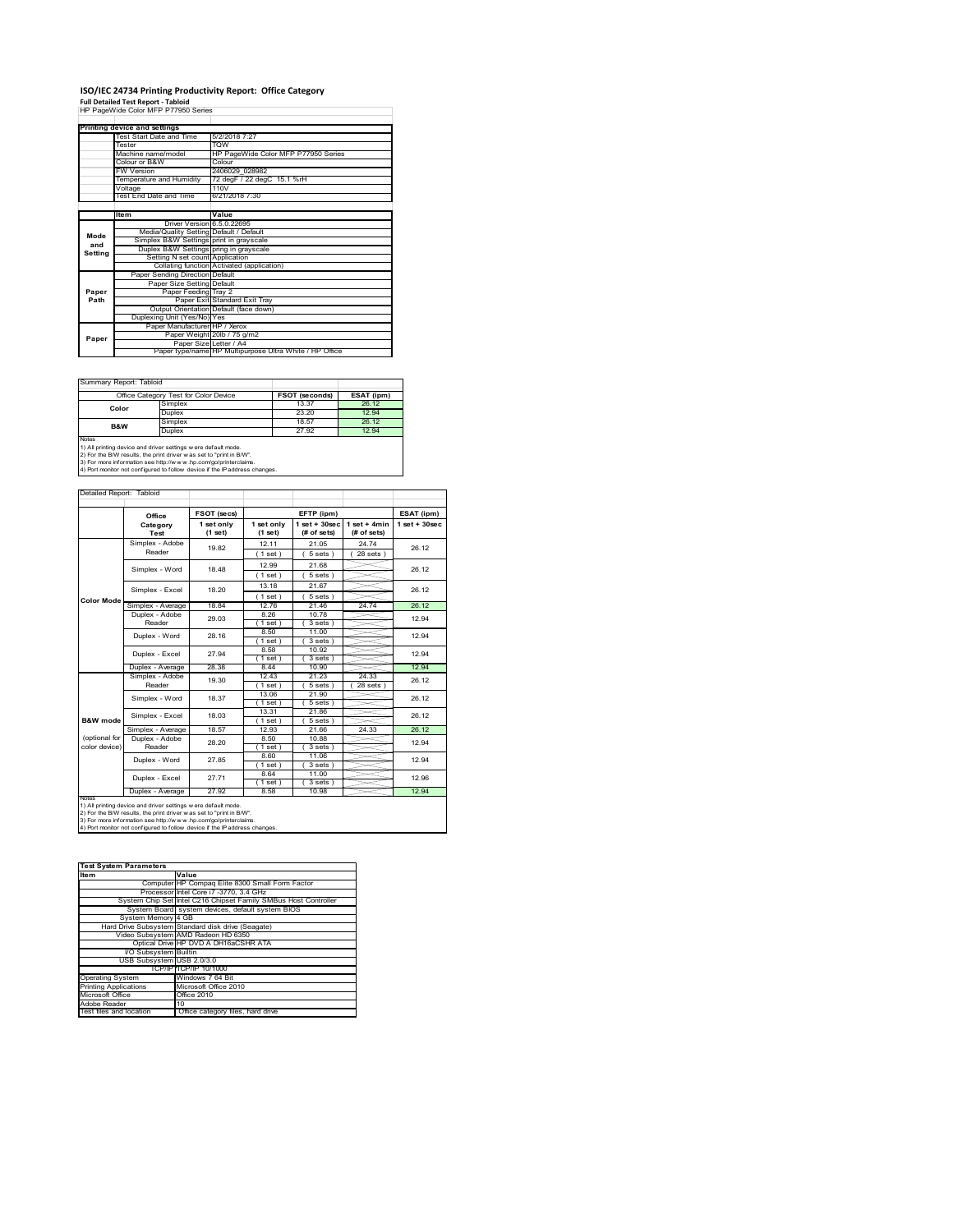# **ISO/IEC 24734 Printing Productivity Report: Office Category Full Detailed Test Report ‐ Tabloid** HP PageWide Color MFP P77950 Series

|         | Printing device and settings            |                                                         |  |  |  |
|---------|-----------------------------------------|---------------------------------------------------------|--|--|--|
|         | Test Start Date and Time                | 5/2/2018 7:27                                           |  |  |  |
|         | Tester                                  | <b>TOW</b>                                              |  |  |  |
|         | Machine name/model                      | HP PageWide Color MFP P77950 Series                     |  |  |  |
|         | Colour or B&W                           | Colour                                                  |  |  |  |
|         | <b>FW Version</b>                       | 2406029 028982                                          |  |  |  |
|         | Temperature and Humidity                | 72 degF / 22 degC 15.1 %rH                              |  |  |  |
|         | Voltage                                 | 110V                                                    |  |  |  |
|         | Test End Date and Time                  | 6/21/2018 7:30                                          |  |  |  |
|         |                                         |                                                         |  |  |  |
|         | ltem                                    | Value                                                   |  |  |  |
|         | Driver Version 6.5.0.22695              |                                                         |  |  |  |
| Mode    | Media/Quality Setting Default / Default |                                                         |  |  |  |
| and     | Simplex B&W Settings print in grayscale |                                                         |  |  |  |
| Setting | Duplex B&W Settings pring in grayscale  |                                                         |  |  |  |
|         | Setting N set count Application         |                                                         |  |  |  |
|         |                                         | Collating function Activated (application)              |  |  |  |
|         | Paper Sending Direction Default         |                                                         |  |  |  |
|         | Paper Size Setting Default              |                                                         |  |  |  |
| Paper   | Paper Feeding Tray 2                    |                                                         |  |  |  |
| Path    |                                         | Paper Exit Standard Exit Tray                           |  |  |  |
|         |                                         | Output Orientation Default (face down)                  |  |  |  |
|         | Duplexing Unit (Yes/No) Yes             |                                                         |  |  |  |
|         | Paper Manufacturer HP / Xerox           |                                                         |  |  |  |
| Paper   |                                         | Paper Weight 20lb / 75 g/m2                             |  |  |  |
|         |                                         | Paper Size Letter / A4                                  |  |  |  |
|         |                                         | Paper type/name HP Multipurpose Ultra White / HP Office |  |  |  |

 $\sim$ 

Summary Report: Tabloi

| --------------------------------                                                                                                                      |         |                       |            |  |  |  |
|-------------------------------------------------------------------------------------------------------------------------------------------------------|---------|-----------------------|------------|--|--|--|
| Office Category Test for Color Device                                                                                                                 |         | <b>FSOT (seconds)</b> | ESAT (ipm) |  |  |  |
| Color                                                                                                                                                 | Simplex | 13.37                 | 26.12      |  |  |  |
|                                                                                                                                                       | Duplex  | 23.20                 | 12.94      |  |  |  |
| B&W                                                                                                                                                   | Simplex | 18.57                 | 26.12      |  |  |  |
|                                                                                                                                                       | Duplex  | 27.92                 | 12.94      |  |  |  |
| <b>Notes</b><br>1) All printing device and driver settings w ere default mode.<br>2) For the B/W results, the print driver was set to "print in B/W". |         |                       |            |  |  |  |

2) For the B/W results, the print driver w as set to "print in B/W".<br>3) For more information see http://w w w .hp.com/go/printerclaims.<br>4) Port monitor not configured to follow device if the IP address changes.

| Detailed Report: Tabloid       |                           |                       |                       |                                   |                               |                    |
|--------------------------------|---------------------------|-----------------------|-----------------------|-----------------------------------|-------------------------------|--------------------|
|                                | Office                    | FSOT (secs)           |                       | EFTP (ipm)                        |                               | ESAT (ipm)         |
|                                | Category<br>Test          | 1 set only<br>(1 set) | 1 set only<br>(1 set) | $1$ set + $30$ sec<br>(# of sets) | $1$ set + 4min<br>(# of sets) | $1$ set + $30$ sec |
|                                | Simplex - Adobe<br>Reader | 19.82                 | 12.11<br>(1 set)      | 21.05<br>5 sets)                  | 24.74<br>$28$ sets)           | 26.12              |
|                                | Simplex - Word            | 18.48                 | 12.99<br>(1 set)      | 21.68<br>$5 sets$ )               |                               | 26.12              |
|                                | Simplex - Excel           | 18.20                 | 13.18<br>(1 set)      | 21.67<br>5 sets)                  |                               | 26.12              |
| <b>Color Mode</b>              | Simplex - Average         | 18.84                 | 12.76                 | 21.46                             | 24.74                         | 26.12              |
|                                | Duplex - Adobe<br>Reader  | 29.03                 | 8.26<br>$1$ set $)$   | 10.78<br>$3 sets$ )               |                               | 12.94              |
|                                | Duplex - Word             | 28.16                 | 8.50<br>$1$ set)      | 11.00<br>3 sets)                  |                               | 12.94              |
|                                | Duplex - Excel            | 27.94                 | 8.58<br>$1$ set)      | 10.92<br>3 sets)                  |                               | 12.94              |
|                                | Duplex - Average          | 28.38                 | 8.44                  | 10.90                             |                               | 12.94              |
|                                | Simplex - Adobe<br>Reader | 19.30                 | 12.43<br>$1$ set)     | 21.23<br>5 sets)                  | 24.33<br>28 sets              | 26.12              |
|                                | Simplex - Word            | 18.37                 | 13.06<br>(1 set)      | 21.90<br>$5 sets$ )               |                               | 26.12              |
| B&W mode                       | Simplex - Excel           | 18.03                 | 13.31<br>(1 set)      | 21.86<br>5 sets)                  |                               | 26.12              |
|                                | Simplex - Average         | 18.57                 | 12.93                 | 21.66                             | 24.33                         | 26.12              |
| (optional for<br>color device) | Duplex - Adobe<br>Reader  | 28.20                 | 8.50<br>1 set)        | 10.88<br>$3 sets$ )               |                               | 12.94              |
|                                | Duplex - Word             | 27.85                 | 8.60<br>1 set)        | 11.06<br>$3 sets$ )               |                               | 12.94              |
|                                | Duplex - Excel            | 27.71                 | 8.64<br>$1$ set)      | 11.00<br>$3 sets$ )               |                               | 12.96              |
| <b>NVMOD</b>                   | Duplex - Average          | 27.92                 | 8.58                  | 10.98                             |                               | 12.94              |

notes<br>1) All printing device and driver settings were default mode.<br>2) For the B/W results, the print driver was set to "print in B/W".<br>3) For more information see http://www.hp.com/go/printerclaims.<br>4) Por morator not con

| <b>Test System Parameters</b> |                                                                 |  |  |
|-------------------------------|-----------------------------------------------------------------|--|--|
| <b>Item</b>                   | Value                                                           |  |  |
|                               | Computer HP Compag Elite 8300 Small Form Factor                 |  |  |
|                               | Processor Intel Core i7 -3770, 3.4 GHz                          |  |  |
|                               | System Chip Set Intel C216 Chipset Family SMBus Host Controller |  |  |
|                               | System Board system devices, default system BIOS                |  |  |
| System Memory 4 GB            |                                                                 |  |  |
|                               | Hard Drive Subsystem Standard disk drive (Seagate)              |  |  |
|                               | Video Subsystem AMD Radeon HD 6350                              |  |  |
|                               | Optical Drive HP DVD A DH16aCSHR ATA                            |  |  |
| I/O Subsystem Builtin         |                                                                 |  |  |
| USB Subsystem USB 2.0/3.0     |                                                                 |  |  |
|                               | TCP/IPITCP/IP 10/1000                                           |  |  |
| <b>Operating System</b>       | Windows 7 64 Bit                                                |  |  |
| <b>Printing Applications</b>  | Microsoft Office 2010                                           |  |  |
| Microsoft Office              | Office 2010                                                     |  |  |
| Adobe Reader                  | 10                                                              |  |  |
| Test files and location       | Office category files, hard drive                               |  |  |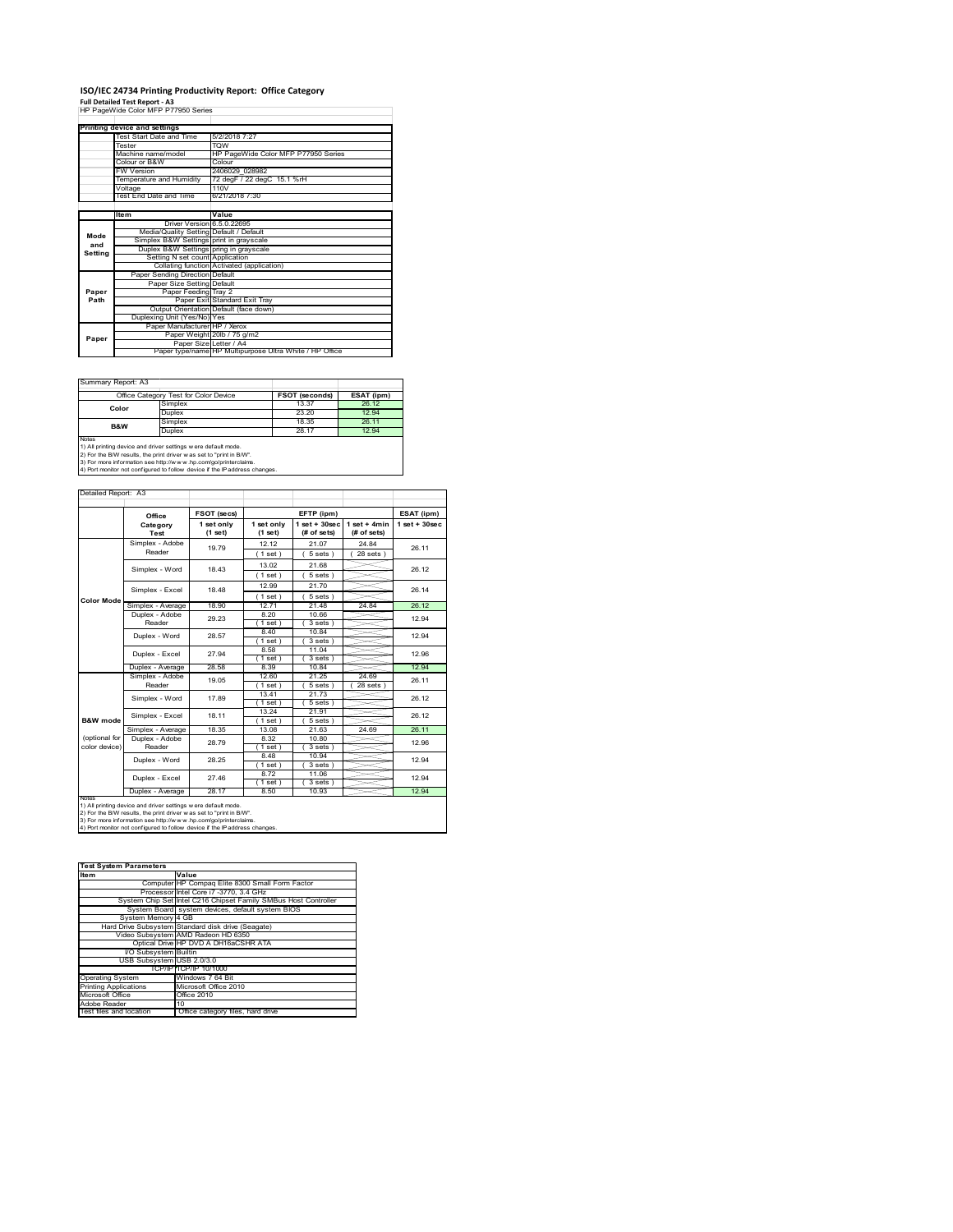### **ISO/IEC 24734 Printing Productivity Report: Office Category Full Detailed Test Report ‐ A3** HP PageWide Color MFP P77950 Series

|         | Printing device and settings            |                                                         |
|---------|-----------------------------------------|---------------------------------------------------------|
|         | Test Start Date and Time                | 5/2/2018 7:27                                           |
|         | Tester                                  | <b>TOW</b>                                              |
|         | Machine name/model                      | HP PageWide Color MFP P77950 Series                     |
|         | Colour or B&W                           | Colour                                                  |
|         | <b>FW Version</b>                       | 2406029 028982                                          |
|         | Temperature and Humidity                | 72 degF / 22 degC 15.1 %rH                              |
|         | Voltage                                 | 110V                                                    |
|         | Test End Date and Time                  | 6/21/2018 7:30                                          |
|         |                                         |                                                         |
|         | Item                                    | Value                                                   |
|         | Driver Version 6.5.0.22695              |                                                         |
| Mode    | Media/Quality Setting Default / Default |                                                         |
| and     | Simplex B&W Settings print in grayscale |                                                         |
| Setting | Duplex B&W Settings pring in grayscale  |                                                         |
|         | Setting N set count Application         |                                                         |
|         |                                         | Collating function Activated (application)              |
|         | Paper Sending Direction Default         |                                                         |
|         | Paper Size Setting Default              |                                                         |
| Paper   | Paper Feeding Tray 2                    |                                                         |
| Path    |                                         | Paper Exit Standard Exit Tray                           |
|         |                                         | Output Orientation Default (face down)                  |
|         | Duplexing Unit (Yes/No) Yes             |                                                         |
|         | Paper Manufacturer HP / Xerox           |                                                         |
| Paper   |                                         | Paper Weight 20lb / 75 g/m2                             |
|         | Paper Size Letter / A4                  |                                                         |
|         |                                         | Paper type/name HP Multipurpose Ultra White / HP Office |

Summary Report: A3

| $U$ ullilleiv includit. Av                                                                                                                     |         |                       |            |  |  |
|------------------------------------------------------------------------------------------------------------------------------------------------|---------|-----------------------|------------|--|--|
| Office Category Test for Color Device                                                                                                          |         | <b>FSOT (seconds)</b> | ESAT (ipm) |  |  |
| Color                                                                                                                                          | Simplex | 13.37                 | 26.12      |  |  |
|                                                                                                                                                | Duplex  | 23.20                 | 12.94      |  |  |
| B&W                                                                                                                                            | Simplex | 18.35                 | 26.11      |  |  |
|                                                                                                                                                | Duplex  | 28.17                 | 12.94      |  |  |
| Notes<br>1) All printing device and driver settings w ere default mode.<br>2) For the B/W results, the print driver was set to "print in B/W". |         |                       |            |  |  |

 $\overline{\phantom{a}}$ 

Т

Τ

٦

2) For the B/W results, the print driver w as set to "print in B/W".<br>3) For more information see http://w w w .hp.com/go/printerclaims.<br>4) Port monitor not configured to follow device if the IP address changes.

|                     | T4) Port monitor not configured to follow device if the ⊪address changes. |  |  |
|---------------------|---------------------------------------------------------------------------|--|--|
|                     |                                                                           |  |  |
|                     |                                                                           |  |  |
| Detailed Report: A3 |                                                                           |  |  |
|                     |                                                                           |  |  |

|                                 | Office                   | FSOT (secs)           |                       | EFTP (ipm)                        |                               | ESAT (ipm)         |
|---------------------------------|--------------------------|-----------------------|-----------------------|-----------------------------------|-------------------------------|--------------------|
|                                 | Category<br>Test         | 1 set only<br>(1 set) | 1 set only<br>(1 set) | $1$ set + $30$ sec<br>(# of sets) | $1$ set + 4min<br>(# of sets) | $1$ set + $30$ sec |
|                                 | Simplex - Adobe          | 19.79                 | 12.12                 | 21.07                             | 24 84                         | 26.11              |
|                                 | Reader                   |                       | $1$ set)              | 5 sets)                           | 28 sets 1                     |                    |
|                                 | Simplex - Word           | 18 43                 | 13.02                 | 21.68                             |                               | 26.12              |
|                                 |                          |                       | $1$ set)              | 5 sets)                           |                               |                    |
|                                 | Simplex - Excel          | 18 48                 | 12.99                 | 21.70                             |                               | 26.14              |
| <b>Color Mode</b>               |                          |                       | (1 set)               | 5 sets                            |                               |                    |
|                                 | Simplex - Average        | 18.90                 | 1271                  | 21.48                             | 24.84                         | 26.12              |
|                                 | Duplex - Adobe<br>Reader | 29.23                 | 8.20<br>$1$ set)      | 10.66<br>$3 sets$ )               |                               | 12.94              |
| Duplex - Word<br>Duplex - Excel | 28.57                    | 8.40<br>1 set         | 10.84<br>3 sets)      |                                   | 12.94                         |                    |
|                                 |                          | 27.94                 | 8.58                  | 11.04                             |                               | 12.96              |
|                                 | Duplex - Average         | 28.58                 | $1$ set)<br>8.39      | 3 sets<br>10.84                   |                               | 12.94              |
|                                 | Simplex - Adobe          |                       | 12.60                 | 21.25                             | 24.69                         |                    |
|                                 | Reader                   | 19.05                 | $'1$ set)             | 5 sets                            | 28 sets                       | 26.11              |
|                                 | Simplex - Word           | 17.89                 | 13.41<br>(1 set)      | 21.73<br>5 sets)                  |                               | 26.12              |
| B&W mode                        | Simplex - Excel          | 18.11                 | 13.24<br>(1 set)      | 21.91<br>5 sets )                 |                               | 26.12              |
|                                 | Simplex - Average        | 18.35                 | 13.08                 | 21.63                             | 24.69                         | 26.11              |
| (optional for<br>color device)  | Duplex - Adobe<br>Reader | 28.79                 | 8.32<br>$1$ set)      | 10.80<br>3 sets)                  |                               | 12.96              |
|                                 | Duplex - Word            | 28.25                 | 8.48<br>$1$ set)      | 10.94<br>3 sets)                  |                               | 12.94              |
|                                 | Duplex - Excel           | 27 46                 | 8.72<br>$1$ set)      | 11.06<br>3 sets                   |                               | 12.94              |
|                                 | Duplex - Average         | 28.17                 | 8.50                  | 10.93                             |                               | 12.94              |

1) All printing device and driver settings were default mode.<br>2) For the B/W results, the print driver was set to "print in B/W".<br>3) For more information see http://www.hp.com/go/printerclaims.<br>4) Port monitor not configur

| <b>Test System Parameters</b> |                                                                 |
|-------------------------------|-----------------------------------------------------------------|
| <b>Item</b>                   | Value                                                           |
|                               | Computer HP Compag Elite 8300 Small Form Factor                 |
|                               | Processor Intel Core i7 -3770, 3.4 GHz                          |
|                               | System Chip Set Intel C216 Chipset Family SMBus Host Controller |
|                               | System Board system devices, default system BIOS                |
| System Memory 4 GB            |                                                                 |
|                               | Hard Drive Subsystem Standard disk drive (Seagate)              |
|                               | Video Subsystem AMD Radeon HD 6350                              |
|                               | Optical Drive HP DVD A DH16aCSHR ATA                            |
| I/O Subsystem Builtin         |                                                                 |
| USB Subsystem USB 2.0/3.0     |                                                                 |
|                               | TCP/IPITCP/IP 10/1000                                           |
| <b>Operating System</b>       | Windows 7 64 Bit                                                |
| <b>Printing Applications</b>  | Microsoft Office 2010                                           |
| Microsoft Office              | Office 2010                                                     |
| Adobe Reader                  | 10                                                              |
| Test files and location       | Office category files, hard drive                               |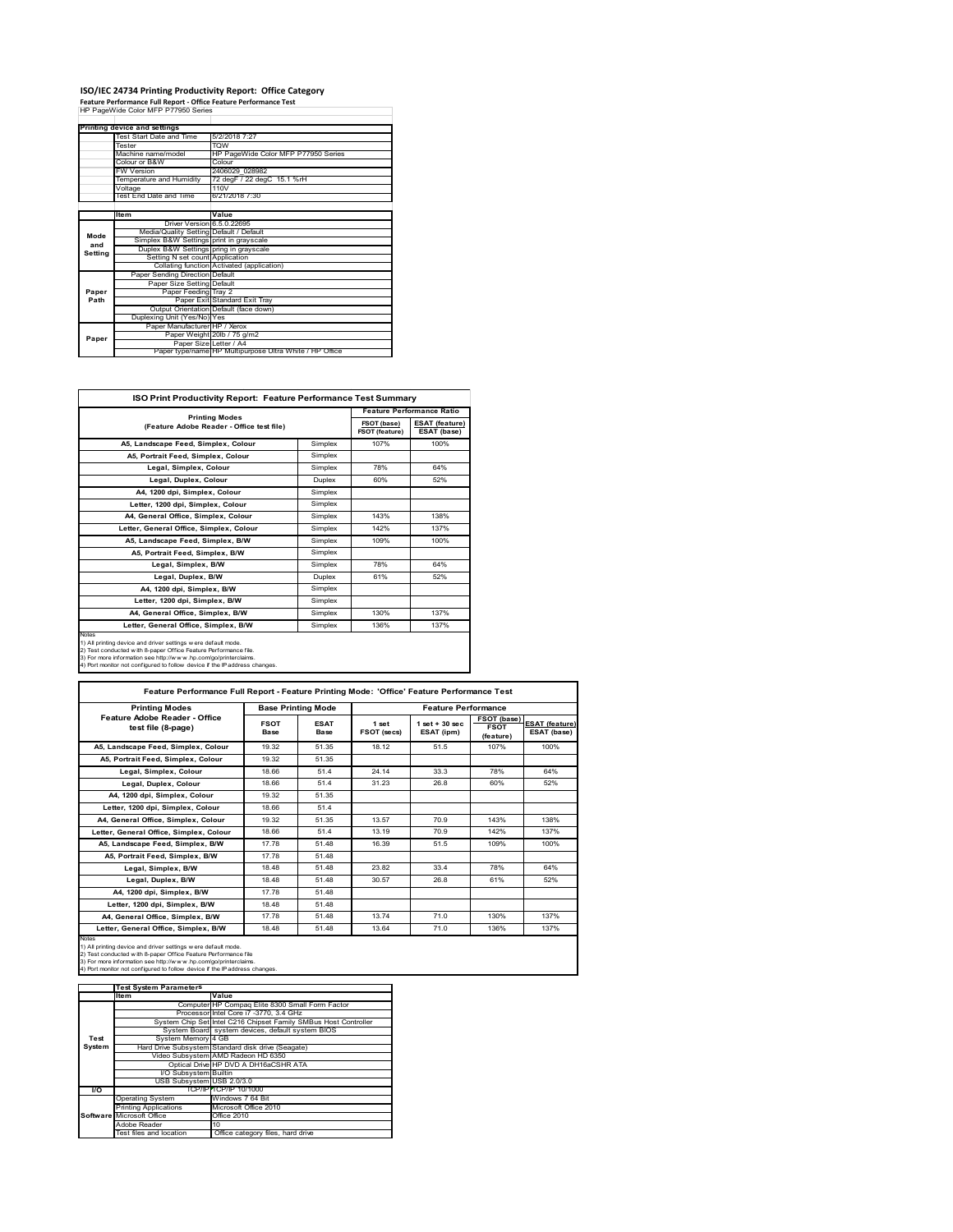## **ISO/IEC 24734 Printing Productivity Report: Office Category Feature Performance Full Report ‐ Office Feature Performance Test** HP PageWide Color MFP P77950 Series

|         | . catule reflormance run Report - Office reature reflormance rest<br>HP PageWide Color MFP P77950 Series |                                                         |  |  |
|---------|----------------------------------------------------------------------------------------------------------|---------------------------------------------------------|--|--|
|         |                                                                                                          |                                                         |  |  |
|         | Printing device and settings                                                                             |                                                         |  |  |
|         | Test Start Date and Time                                                                                 | 5/2/2018 7:27                                           |  |  |
|         | Tester                                                                                                   | <b>TOW</b>                                              |  |  |
|         | Machine name/model                                                                                       | HP PageWide Color MFP P77950 Series                     |  |  |
|         | Colour or B&W                                                                                            | Colour                                                  |  |  |
|         | <b>FW Version</b>                                                                                        | 2406029 028982                                          |  |  |
|         | Temperature and Humidity                                                                                 | 72 degF / 22 degC 15.1 %rH                              |  |  |
|         | Voltage                                                                                                  | 110V                                                    |  |  |
|         | Test End Date and Time                                                                                   | 6/21/2018 7:30                                          |  |  |
|         |                                                                                                          |                                                         |  |  |
|         | <b>Item</b>                                                                                              | Value                                                   |  |  |
|         | Driver Version 6.5.0.22695                                                                               |                                                         |  |  |
| Mode    | Media/Quality Setting Default / Default                                                                  |                                                         |  |  |
| and     | Simplex B&W Settings print in grayscale                                                                  |                                                         |  |  |
| Setting | Duplex B&W Settings pring in grayscale                                                                   |                                                         |  |  |
|         | Setting N set count Application                                                                          |                                                         |  |  |
|         |                                                                                                          | Collating function Activated (application)              |  |  |
|         | Paper Sending Direction Default                                                                          |                                                         |  |  |
|         | Paper Size Setting Default                                                                               |                                                         |  |  |
| Paper   | Paper Feeding Tray 2                                                                                     |                                                         |  |  |
| Path    |                                                                                                          | Paper Exit Standard Exit Tray                           |  |  |
|         |                                                                                                          | Output Orientation Default (face down)                  |  |  |
|         | Duplexing Unit (Yes/No) Yes                                                                              |                                                         |  |  |
|         | Paper Manufacturer HP / Xerox                                                                            |                                                         |  |  |
| Paper   |                                                                                                          | Paper Weight 20lb / 75 g/m2                             |  |  |
|         | Paper Size Letter / A4                                                                                   | Paper type/name HP Multipurpose Ultra White / HP Office |  |  |
|         |                                                                                                          |                                                         |  |  |

| <b>ISO Print Productivity Report: Feature Performance Test Summary</b>                                                                                                                                                                                                                      |               |                                      |                                      |  |  |
|---------------------------------------------------------------------------------------------------------------------------------------------------------------------------------------------------------------------------------------------------------------------------------------------|---------------|--------------------------------------|--------------------------------------|--|--|
| <b>Printing Modes</b>                                                                                                                                                                                                                                                                       |               |                                      | <b>Feature Performance Ratio</b>     |  |  |
| (Feature Adobe Reader - Office test file)                                                                                                                                                                                                                                                   |               | FSOT (base)<br><b>FSOT (feature)</b> | <b>ESAT (feature)</b><br>ESAT (base) |  |  |
| A5, Landscape Feed, Simplex, Colour                                                                                                                                                                                                                                                         | Simplex       | 107%                                 | 100%                                 |  |  |
| A5, Portrait Feed, Simplex, Colour                                                                                                                                                                                                                                                          | Simplex       |                                      |                                      |  |  |
| Legal, Simplex, Colour                                                                                                                                                                                                                                                                      | Simplex       | 78%                                  | 64%                                  |  |  |
| Legal, Duplex, Colour                                                                                                                                                                                                                                                                       | <b>Duplex</b> | 60%                                  | 52%                                  |  |  |
| A4, 1200 dpi, Simplex, Colour                                                                                                                                                                                                                                                               | Simplex       |                                      |                                      |  |  |
| Letter, 1200 dpi, Simplex, Colour                                                                                                                                                                                                                                                           | Simplex       |                                      |                                      |  |  |
| A4, General Office, Simplex, Colour                                                                                                                                                                                                                                                         | Simplex       | 143%                                 | 138%                                 |  |  |
| Letter, General Office, Simplex, Colour                                                                                                                                                                                                                                                     | Simplex       | 142%                                 | 137%                                 |  |  |
| A5, Landscape Feed, Simplex, B/W                                                                                                                                                                                                                                                            | Simplex       | 109%                                 | 100%                                 |  |  |
| A5, Portrait Feed, Simplex, B/W                                                                                                                                                                                                                                                             | Simplex       |                                      |                                      |  |  |
| Legal, Simplex, B/W                                                                                                                                                                                                                                                                         | Simplex       | 78%                                  | 64%                                  |  |  |
| Legal, Duplex, B/W                                                                                                                                                                                                                                                                          | <b>Duplex</b> | 61%                                  | 52%                                  |  |  |
| A4, 1200 dpi, Simplex, B/W                                                                                                                                                                                                                                                                  | Simplex       |                                      |                                      |  |  |
| Letter, 1200 dpi, Simplex, B/W                                                                                                                                                                                                                                                              | Simplex       |                                      |                                      |  |  |
| A4, General Office, Simplex, B/W                                                                                                                                                                                                                                                            | Simplex       | 130%                                 | 137%                                 |  |  |
| Letter, General Office, Simplex, B/W                                                                                                                                                                                                                                                        | Simplex       | 136%                                 | 137%                                 |  |  |
| Notes<br>1) All printing device and driver settings w ere default mode.<br>2) Test conducted with 8-paper Office Feature Performance file.<br>3) For more information see http://www.hp.com/go/printerclaims.<br>4) Port monitor not configured to follow device if the IP address changes. |               |                                      |                                      |  |  |

| <b>Printing Modes</b>                               |                     | <b>Base Printing Mode</b> |                      | <b>Feature Performance</b>       |                                         |                                      |
|-----------------------------------------------------|---------------------|---------------------------|----------------------|----------------------------------|-----------------------------------------|--------------------------------------|
| Feature Adobe Reader - Office<br>test file (8-page) | <b>FSOT</b><br>Base | <b>ESAT</b><br>Base       | 1 set<br>FSOT (secs) | $1$ set $+30$ sec.<br>ESAT (ipm) | FSOT (base)<br><b>FSOT</b><br>(feature) | <b>ESAT (feature)</b><br>ESAT (base) |
| A5, Landscape Feed, Simplex, Colour                 | 19.32               | 51 35                     | 18 12                | 51.5                             | 107%                                    | 100%                                 |
| A5. Portrait Feed. Simplex. Colour                  | 19.32               | 51.35                     |                      |                                  |                                         |                                      |
| Legal, Simplex, Colour                              | 18.66               | 514                       | 24 14                | 33.3                             | 78%                                     | 64%                                  |
| Legal, Duplex, Colour                               | 18.66               | 514                       | 31.23                | 26.8                             | 60%                                     | 52%                                  |
| A4, 1200 dpi, Simplex, Colour                       | 19.32               | 51.35                     |                      |                                  |                                         |                                      |
| Letter, 1200 dpi, Simplex, Colour                   | 18.66               | 514                       |                      |                                  |                                         |                                      |
| A4. General Office. Simplex. Colour                 | 19.32               | 51 35                     | 13.57                | 70.9                             | 143%                                    | 138%                                 |
| Letter, General Office, Simplex, Colour             | 18.66               | 51.4                      | 13.19                | 70.9                             | 142%                                    | 137%                                 |
| A5, Landscape Feed, Simplex, B/W                    | 1778                | 51 48                     | 16.39                | 51.5                             | 109%                                    | 100%                                 |
| A5, Portrait Feed, Simplex, B/W                     | 1778                | 51 48                     |                      |                                  |                                         |                                      |
| Legal, Simplex, B/W                                 | 18.48               | 51 48                     | 23.82                | 334                              | 78%                                     | 64%                                  |
| Legal, Duplex, B/W                                  | 18.48               | 51 48                     | 30.57                | 26.8                             | 61%                                     | 52%                                  |
| A4. 1200 dpi. Simplex, B/W                          | 1778                | 51 48                     |                      |                                  |                                         |                                      |
| Letter, 1200 dpi, Simplex, B/W                      | 1848                | 51 48                     |                      |                                  |                                         |                                      |
| A4, General Office, Simplex, B/W                    | 17.78               | 51.48                     | 1374                 | 71.0                             | 130%                                    | 137%                                 |
| Letter, General Office, Simplex, B/W                | 1848                | 51 48                     | 13.64                | 71.0                             | 136%                                    | 137%                                 |

Notes<br>1) All printing device and driver settings were default mode.<br>2) Test conducted with 8-paper Office Feature Performance file<br>3) For more information see http://www.hp.com/go/printerclaims.<br>4) Por monitor not configur

|               | <b>Test System Parameters</b> |                                                                 |
|---------------|-------------------------------|-----------------------------------------------------------------|
|               | Item                          | Value                                                           |
|               |                               | Computer HP Compaq Elite 8300 Small Form Factor                 |
|               |                               | Processor Intel Core i7 -3770, 3.4 GHz                          |
|               |                               | System Chip Set Intel C216 Chipset Family SMBus Host Controller |
|               |                               | System Board system devices, default system BIOS                |
| Test          | System Memory 4 GB            |                                                                 |
| <b>System</b> |                               | Hard Drive Subsystem Standard disk drive (Seagate)              |
|               |                               | Video Subsystem AMD Radeon HD 6350                              |
|               |                               | Optical Drive HP DVD A DH16aCSHR ATA                            |
|               | I/O Subsystem Builtin         |                                                                 |
|               | USB Subsystem USB 2.0/3.0     |                                                                 |
| <b>VO</b>     |                               | TCP/IPFTCP/IP 10/1000                                           |
|               | <b>Operating System</b>       | Windows 7 64 Bit                                                |
|               | <b>Printing Applications</b>  | Microsoft Office 2010                                           |
|               | Software Microsoft Office     | Office 2010                                                     |
|               | Adobe Reader                  | 10                                                              |
|               | Test files and location       | Office category files, hard drive                               |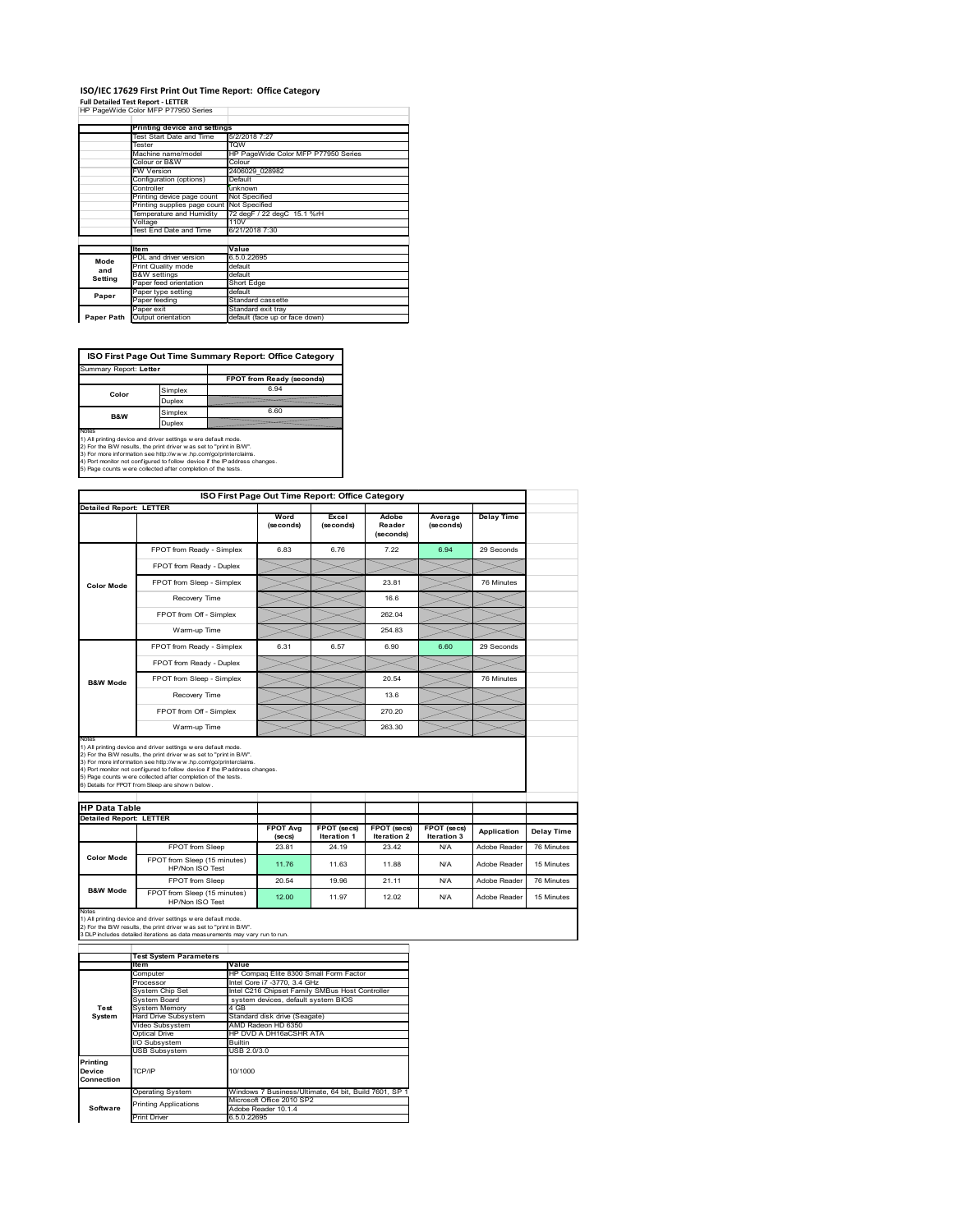#### **ISO/IEC 17629 First Print Out Time Report: Office Category**  $\overline{1}$

| <b>Full Detailed Test Report - LETTER</b> |  |  |  |  |
|-------------------------------------------|--|--|--|--|
| HP PageWide Color MFP P77950 Series       |  |  |  |  |

|            | Printing device and settings |                                     |
|------------|------------------------------|-------------------------------------|
|            | Test Start Date and Time     | 5/2/2018 7:27                       |
|            | Tester                       | <b>TOW</b>                          |
|            | Machine name/model           | HP PageWide Color MFP P77950 Series |
|            | Colour or B&W                | Colour                              |
|            | FW Version                   | 2406029 028982                      |
|            | Configuration (options)      | Default                             |
|            | Controller                   | unknown                             |
|            | Printing device page count   | Not Specified                       |
|            | Printing supplies page count | Not Specified                       |
|            | Temperature and Humidity     | 72 degF / 22 degC 15.1 %rH          |
|            | Voltage                      | 110V                                |
|            | Test End Date and Time       | 6/21/2018 7:30                      |
|            |                              |                                     |
|            | <b>Item</b>                  | Value                               |
| Mode       | PDL and driver version       | 6.5.0.22695                         |
| and        | Print Quality mode           | default                             |
| Setting    | <b>B&amp;W</b> settings      | default                             |
|            | Paper feed orientation       | Short Edge                          |
| Paper      | Paper type setting           | default                             |
|            | Paper feeding                | Standard cassette                   |
|            | Paper exit                   | Standard exit tray                  |
| Paper Path | Output orientation           | default (face up or face down)      |

**ISO First Page Out Time Summary Report: Office Category**

| Summary Report: Letter |                           |
|------------------------|---------------------------|
|                        | FPOT from Ready (seconds) |
| Simplex                | 6.94                      |
| Duplex                 |                           |
| Simplex                | 6.60                      |
| Duplex                 |                           |
|                        |                           |

Notes<br>1) All printing device and driver settings were default mode.<br>2) For the BW results, the print driver was set to "print in BW".<br>3) For more information see http://www.hp.com/golprinterclaims.<br>4) Port montor not confi

|                                                        | ISO First Page Out Time Report: Office Category                                                                                                                                                                                                                                                                                                                                                             |                            |                            |                              |                            |                   |
|--------------------------------------------------------|-------------------------------------------------------------------------------------------------------------------------------------------------------------------------------------------------------------------------------------------------------------------------------------------------------------------------------------------------------------------------------------------------------------|----------------------------|----------------------------|------------------------------|----------------------------|-------------------|
| <b>Detailed Report: LETTER</b>                         |                                                                                                                                                                                                                                                                                                                                                                                                             | Word<br>(seconds)          | Excel<br>(seconds)         | Adobe<br>Reader<br>(seconds) | Average<br>(seconds)       | <b>Delay Time</b> |
|                                                        | FPOT from Ready - Simplex                                                                                                                                                                                                                                                                                                                                                                                   | 6.83                       | 6.76                       | 7.22                         | 6.94                       | 29 Seconds        |
|                                                        | FPOT from Ready - Duplex                                                                                                                                                                                                                                                                                                                                                                                    |                            |                            |                              |                            |                   |
| <b>Color Mode</b>                                      | FPOT from Sleep - Simplex                                                                                                                                                                                                                                                                                                                                                                                   |                            |                            | 23.81                        |                            | 76 Minutes        |
|                                                        | Recovery Time                                                                                                                                                                                                                                                                                                                                                                                               |                            |                            | 16.6                         |                            |                   |
|                                                        | FPOT from Off - Simplex                                                                                                                                                                                                                                                                                                                                                                                     |                            |                            | 262.04                       |                            |                   |
|                                                        | Warm-up Time                                                                                                                                                                                                                                                                                                                                                                                                |                            |                            | 254.83                       |                            |                   |
|                                                        | FPOT from Ready - Simplex                                                                                                                                                                                                                                                                                                                                                                                   | 6.31                       | 6.57                       | 6.90                         | 6.60                       | 29 Seconds        |
|                                                        | FPOT from Ready - Duplex                                                                                                                                                                                                                                                                                                                                                                                    |                            |                            |                              |                            |                   |
| <b>B&amp;W Mode</b>                                    | FPOT from Sleep - Simplex                                                                                                                                                                                                                                                                                                                                                                                   |                            |                            | 20.54                        |                            | 76 Minutes        |
|                                                        | Recovery Time                                                                                                                                                                                                                                                                                                                                                                                               |                            |                            | 13.6                         |                            |                   |
|                                                        | FPOT from Off - Simplex                                                                                                                                                                                                                                                                                                                                                                                     |                            |                            | 270.20                       |                            |                   |
|                                                        |                                                                                                                                                                                                                                                                                                                                                                                                             |                            |                            |                              |                            |                   |
| Notes                                                  | Warm-up Time                                                                                                                                                                                                                                                                                                                                                                                                |                            |                            | 263.30                       |                            |                   |
|                                                        | 1) All printing device and driver settings w ere default mode.<br>2) For the B/W results, the print driver was set to "print in B/W".<br>3) For more information see http://www.hp.com/go/printerclaims.<br>4) Port monitor not configured to follow device if the IP address changes.<br>5) Page counts w ere collected after completion of the tests.<br>6) Details for FPOT from Sleep are show n below. |                            |                            |                              |                            |                   |
|                                                        |                                                                                                                                                                                                                                                                                                                                                                                                             |                            |                            |                              |                            |                   |
| <b>HP Data Table</b><br><b>Detailed Report: LETTER</b> |                                                                                                                                                                                                                                                                                                                                                                                                             | <b>FPOT Avg</b><br>(se cs) | FPOT (secs)<br>Iteration 1 | FPOT (secs)<br>Iteration 2   | FPOT (secs)<br>Iteration 3 | Application       |
|                                                        | FPOT from Sleep                                                                                                                                                                                                                                                                                                                                                                                             | 23.81                      | 24.19                      | 23.42                        | N/A                        | Adobe Reader      |
| <b>Color Mode</b>                                      | FPOT from Sleep (15 minutes)<br>HP/Non ISO Test                                                                                                                                                                                                                                                                                                                                                             | 11.76                      | 11.63                      | 11.88                        | N/A                        | Adobe Reader      |
| <b>B&amp;W Mode</b>                                    | <b>FPOT</b> from Sleep                                                                                                                                                                                                                                                                                                                                                                                      | 20.54                      | 19.96                      | 21.11                        | N/A                        | Adobe Reader      |

Notes<br>1) All printing device and driver settings w ere default mode.<br>2) For the B/W results, the print driver w as set to "print in B/W".<br>3 DLP includes detailed iterations as data measurements may vary run to run.

|                                  | <b>Test System Parameters</b> |                                                       |  |
|----------------------------------|-------------------------------|-------------------------------------------------------|--|
|                                  | Item                          | Value                                                 |  |
|                                  | Computer                      | HP Compaq Elite 8300 Small Form Factor                |  |
|                                  | Processor                     | Intel Core i7 -3770, 3.4 GHz                          |  |
|                                  | System Chip Set               | Intel C216 Chipset Family SMBus Host Controller       |  |
|                                  | System Board                  | system devices, default system BIOS                   |  |
| Test                             | <b>System Memory</b>          | 4 GB                                                  |  |
| System                           | Hard Drive Subsystem          | Standard disk drive (Seagate)                         |  |
|                                  | Video Subsystem               | AMD Radeon HD 6350                                    |  |
|                                  | Optical Drive                 | HP DVD A DH16aCSHR ATA                                |  |
|                                  | I/O Subsystem                 | <b>Builtin</b>                                        |  |
|                                  | <b>USB Subsystem</b>          | USB 2.0/3.0                                           |  |
| Printing<br>Device<br>Connection | TCP/IP                        | 10/1000                                               |  |
|                                  | <b>Operating System</b>       | Windows 7 Business/Ultimate, 64 bit, Build 7601, SP 1 |  |
|                                  | <b>Printing Applications</b>  | Microsoft Office 2010 SP2                             |  |
| Software                         |                               | Adobe Reader 10.1.4                                   |  |
|                                  | Print Driver                  | 6.5.0.22695                                           |  |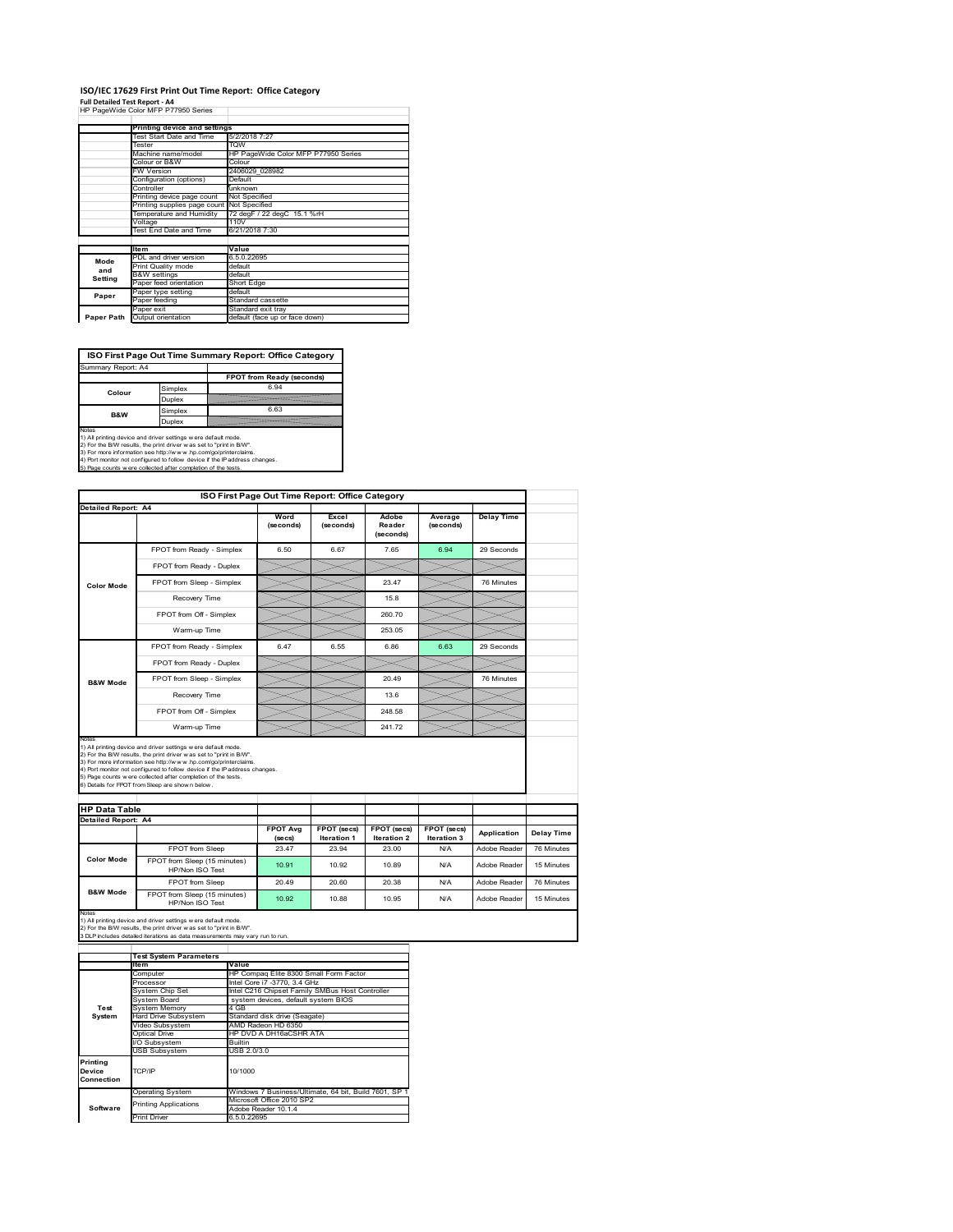## **ISO/IEC 17629 First Print Out Time Report: Office Category**

**Full Detailed Test Report ‐ A4** HP PageWide Color MFP P77950 Series

|            | Printing device and settings               |                                     |  |  |
|------------|--------------------------------------------|-------------------------------------|--|--|
|            | Test Start Date and Time                   | 5/2/2018 7:27                       |  |  |
|            | Tester                                     | <b>TOW</b>                          |  |  |
|            | Machine name/model                         | HP PageWide Color MFP P77950 Series |  |  |
|            | Colour or B&W                              | Colour                              |  |  |
|            | FW Version                                 | 2406029 028982                      |  |  |
|            | Configuration (options)                    | Default                             |  |  |
|            | Controller                                 | unknown                             |  |  |
|            | Printing device page count                 | Not Specified                       |  |  |
|            | Printing supplies page count Not Specified |                                     |  |  |
|            | Temperature and Humidity                   | 72 degF / 22 degC 15.1 %rH          |  |  |
|            | Voltage                                    | 110V                                |  |  |
|            | Test End Date and Time                     | 6/21/2018 7:30                      |  |  |
|            |                                            |                                     |  |  |
|            | <b>Item</b>                                | Value                               |  |  |
| Mode       | PDL and driver version                     | 6.5.0.22695                         |  |  |
| and        | Print Quality mode                         | default                             |  |  |
| Setting    | <b>B&amp;W</b> settings                    | default                             |  |  |
|            | Paper feed orientation                     | Short Edge                          |  |  |
| Paper      | Paper type setting                         | default                             |  |  |
|            | Paper feeding                              | Standard cassette                   |  |  |
|            | Paper exit                                 | Standard exit tray                  |  |  |
| Paper Path | Output orientation                         | default (face up or face down)      |  |  |

**ISO First Page Out Time Summary Report: Office Category**

| Summary Report: A4 |         |                           |
|--------------------|---------|---------------------------|
|                    |         | FPOT from Ready (seconds) |
| Colour             | Simplex | 6.94                      |
|                    | Duplex  |                           |
| B&W                | Simplex | 6.63                      |
|                    | Duplex  |                           |
|                    |         |                           |

Notes<br>1) All printing device and driver settings were default mode.<br>2) For the BAV results, the print driver was set to "print in BAV".<br>3) For more information see http://www.hp.com/golprinterclaims.<br>4) Port monitor not co

|                            |                                                                                                                                                                                                                                                                                                                                                                                                              | ISO First Page Out Time Report: Office Category |                                   |                                   |                            |                   |            |
|----------------------------|--------------------------------------------------------------------------------------------------------------------------------------------------------------------------------------------------------------------------------------------------------------------------------------------------------------------------------------------------------------------------------------------------------------|-------------------------------------------------|-----------------------------------|-----------------------------------|----------------------------|-------------------|------------|
| Detailed Report: A4        |                                                                                                                                                                                                                                                                                                                                                                                                              | Word<br>(seconds)                               | Excel<br>(seconds)                | Adobe<br>Reader<br>(seconds)      | Average<br>(seconds)       | <b>Delay Time</b> |            |
|                            | FPOT from Ready - Simplex                                                                                                                                                                                                                                                                                                                                                                                    | 6.50                                            | 6.67                              | 7.65                              | 6.94                       | 29 Seconds        |            |
|                            | FPOT from Ready - Duplex                                                                                                                                                                                                                                                                                                                                                                                     |                                                 |                                   |                                   |                            |                   |            |
| <b>Color Mode</b>          | FPOT from Sleep - Simplex                                                                                                                                                                                                                                                                                                                                                                                    |                                                 |                                   | 23.47                             |                            | 76 Minutes        |            |
|                            | Recovery Time                                                                                                                                                                                                                                                                                                                                                                                                |                                                 |                                   | 15.8                              |                            |                   |            |
|                            | FPOT from Off - Simplex                                                                                                                                                                                                                                                                                                                                                                                      |                                                 |                                   | 260.70                            |                            |                   |            |
|                            | Warm-up Time                                                                                                                                                                                                                                                                                                                                                                                                 |                                                 |                                   | 253.05                            |                            |                   |            |
|                            | FPOT from Ready - Simplex                                                                                                                                                                                                                                                                                                                                                                                    | 6.47                                            | 6.55                              | 6.86                              | 6.63                       | 29 Seconds        |            |
|                            | FPOT from Ready - Duplex                                                                                                                                                                                                                                                                                                                                                                                     |                                                 |                                   |                                   |                            |                   |            |
| <b>B&amp;W Mode</b>        | FPOT from Sleep - Simplex                                                                                                                                                                                                                                                                                                                                                                                    |                                                 |                                   | 20.49                             |                            | 76 Minutes        |            |
|                            | Recovery Time                                                                                                                                                                                                                                                                                                                                                                                                |                                                 |                                   | 13.6                              |                            |                   |            |
|                            |                                                                                                                                                                                                                                                                                                                                                                                                              |                                                 |                                   |                                   |                            |                   |            |
|                            | FPOT from Off - Simplex                                                                                                                                                                                                                                                                                                                                                                                      |                                                 |                                   | 248.58                            |                            |                   |            |
| Notes                      | Warm-up Time                                                                                                                                                                                                                                                                                                                                                                                                 |                                                 |                                   | 24172                             |                            |                   |            |
| <b>HP Data Table</b>       | 1) All printing device and driver settings w ere default mode.<br>2) For the B/W results, the print driver w as set to "print in B/W".<br>3) For more information see http://www.hp.com/go/printerclaims.<br>4) Port monitor not configured to follow device if the IP address changes.<br>5) Page counts w ere collected after completion of the tests.<br>6) Details for FPOT from Sleep are show n below. |                                                 |                                   |                                   |                            |                   |            |
| <b>Detailed Report: A4</b> |                                                                                                                                                                                                                                                                                                                                                                                                              |                                                 |                                   |                                   |                            |                   |            |
|                            |                                                                                                                                                                                                                                                                                                                                                                                                              | <b>FPOT Avg</b><br>(secs)                       | FPOT (secs)<br><b>Iteration 1</b> | FPOT (secs)<br><b>Iteration 2</b> | FPOT (secs)<br>Iteration 3 | Application       | Delay Time |
|                            | FPOT from Sleep                                                                                                                                                                                                                                                                                                                                                                                              | 23.47                                           | 23.94                             | 23.00                             | N/A                        | Adobe Reader      | 76 Minutes |
| <b>Color Mode</b>          | FPOT from Sleep (15 minutes)<br>HP/Non ISO Test                                                                                                                                                                                                                                                                                                                                                              | 10.91                                           | 10.92                             | 10.89                             | N/A                        | Adobe Reader      | 15 Minutes |
| <b>B&amp;W Mode</b>        | FPOT from Sleep                                                                                                                                                                                                                                                                                                                                                                                              | 20.49                                           | 20.60                             | 20.38                             | N/A                        | Adobe Reader      | 76 Minutes |

1) All printing device and driver settings w ere default mode.<br>2) For the B/W results, the print driver w as set to "print in B/W".<br>3 DLP includes detailed iterations as data measurements may vary run to run.

|                                  | <b>Test System Parameters</b> |                                                       |  |  |
|----------------------------------|-------------------------------|-------------------------------------------------------|--|--|
|                                  | Item                          | Value                                                 |  |  |
|                                  | Computer                      | HP Compag Elite 8300 Small Form Factor                |  |  |
|                                  | Processor                     | Intel Core i7 -3770, 3.4 GHz                          |  |  |
|                                  | System Chip Set               | Intel C216 Chipset Family SMBus Host Controller       |  |  |
|                                  | System Board                  | system devices, default system BIOS                   |  |  |
| Test                             | <b>System Memory</b>          | 4 GB                                                  |  |  |
| System                           | Hard Drive Subsystem          | Standard disk drive (Seagate)                         |  |  |
|                                  | Video Subsystem               | AMD Radeon HD 6350                                    |  |  |
|                                  | Optical Drive                 | HP DVD A DH16aCSHR ATA                                |  |  |
|                                  | I/O Subsystem                 | <b>Builtin</b>                                        |  |  |
|                                  | <b>USB Subsystem</b>          | USB 2.0/3.0                                           |  |  |
| Printing<br>Device<br>Connection | TCP/IP                        | 10/1000                                               |  |  |
|                                  | <b>Operating System</b>       | Windows 7 Business/Ultimate, 64 bit, Build 7601, SP 1 |  |  |
|                                  | <b>Printing Applications</b>  | Microsoft Office 2010 SP2                             |  |  |
| Software                         |                               | Adobe Reader 10.1.4                                   |  |  |
|                                  | <b>Print Driver</b>           | 6.5.0.22695                                           |  |  |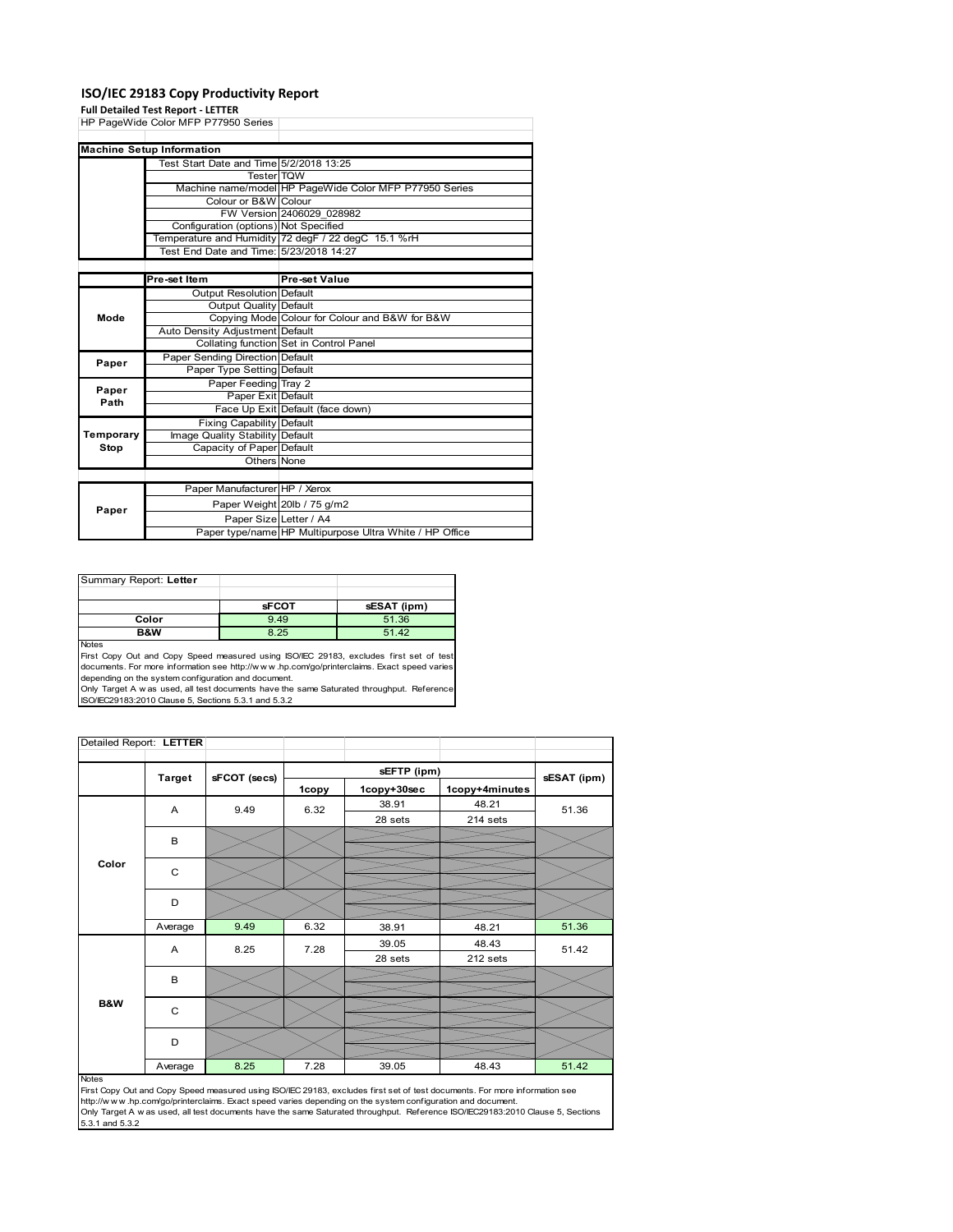### **ISO/IEC 29183 Copy Productivity Report**

#### **Full Detailed Test Report ‐ LETTER**

|           | HP PageWide Color MFP P77950 Series     |                                                         |
|-----------|-----------------------------------------|---------------------------------------------------------|
|           |                                         |                                                         |
|           | <b>Machine Setup Information</b>        |                                                         |
|           | Test Start Date and Time 5/2/2018 13:25 |                                                         |
|           | <b>Tester TOW</b>                       |                                                         |
|           |                                         | Machine name/model HP PageWide Color MFP P77950 Series  |
|           | Colour or B&W Colour                    |                                                         |
|           |                                         | FW Version 2406029 028982                               |
|           | Configuration (options) Not Specified   |                                                         |
|           |                                         | Temperature and Humidity 72 degF / 22 degC 15.1 %rH     |
|           | Test End Date and Time: 5/23/2018 14:27 |                                                         |
|           |                                         |                                                         |
|           | Pre-set Item                            | Pre-set Value                                           |
|           | <b>Output Resolution Default</b>        |                                                         |
|           | Output Quality Default                  |                                                         |
| Mode      |                                         | Copying Mode Colour for Colour and B&W for B&W          |
|           | Auto Density Adjustment Default         |                                                         |
|           |                                         | Collating function Set in Control Panel                 |
| Paper     | Paper Sending Direction Default         |                                                         |
|           | Paper Type Setting Default              |                                                         |
| Paper     | Paper Feeding Tray 2                    |                                                         |
| Path      | Paper Exit Default                      |                                                         |
|           |                                         | Face Up Exit Default (face down)                        |
|           | <b>Fixing Capability Default</b>        |                                                         |
| Temporary | Image Quality Stability Default         |                                                         |
| Stop      | Capacity of Paper Default               |                                                         |
|           | Others None                             |                                                         |
|           |                                         |                                                         |
|           | Paper Manufacturer HP / Xerox           |                                                         |
| Paper     |                                         | Paper Weight 20lb / 75 g/m2                             |
|           | Paper Size Letter / A4                  |                                                         |
|           |                                         | Paper type/name HP Multipurpose Ultra White / HP Office |

| Summary Report: Letter |              |             |
|------------------------|--------------|-------------|
|                        |              |             |
|                        | <b>sFCOT</b> | sESAT (ipm) |
| Color                  | 9.49         | 51.36       |
| <b>B&amp;W</b>         | 8.25         | 51.42       |
| <b>Notes</b>           |              |             |

First Copy Out and Copy Speed measured using ISO/IEC 29183, excludes first set of test documents. For more information see http://w w w .hp.com/go/printerclaims. Exact speed varies

depending on the system configuration and document.<br>Only Target A w as used, all test documents have the same Saturated throughput. Reference<br>ISO/IEC29183:2010 Clause 5, Sections 5.3.1 and 5.3.2

| Detailed Report: LETTER |               |              |       |             |                |             |
|-------------------------|---------------|--------------|-------|-------------|----------------|-------------|
|                         |               |              |       | sEFTP (ipm) |                |             |
|                         | <b>Target</b> | sFCOT (secs) | 1copy | 1copy+30sec | 1copy+4minutes | sESAT (ipm) |
|                         | A             | 9.49         | 6.32  | 38.91       | 48.21          | 51.36       |
|                         |               |              |       | 28 sets     | 214 sets       |             |
|                         | B             |              |       |             |                |             |
|                         |               |              |       |             |                |             |
| Color                   | C             |              |       |             |                |             |
|                         |               |              |       |             |                |             |
|                         | D             |              |       |             |                |             |
|                         | Average       | 9.49         | 6.32  | 38.91       | 48.21          | 51.36       |
|                         | A             | 8.25         | 7.28  | 39.05       | 48.43          | 51.42       |
|                         |               |              |       | 28 sets     | 212 sets       |             |
|                         | B             |              |       |             |                |             |
|                         |               |              |       |             |                |             |
| <b>B&amp;W</b>          | C             |              |       |             |                |             |
|                         |               |              |       |             |                |             |
|                         | D             |              |       |             |                |             |
|                         | Average       | 8.25         | 7.28  | 39.05       | 48.43          | 51.42       |

i<br>L

#### Notes

First Copy Out and Copy Speed measured using ISO/IEC 29183, excludes first set of test documents. For more information see<br>http://w w w.hp.com/go/printerclaims. Exact speed varies depending on the system configuration and 5.3.1 and 5.3.2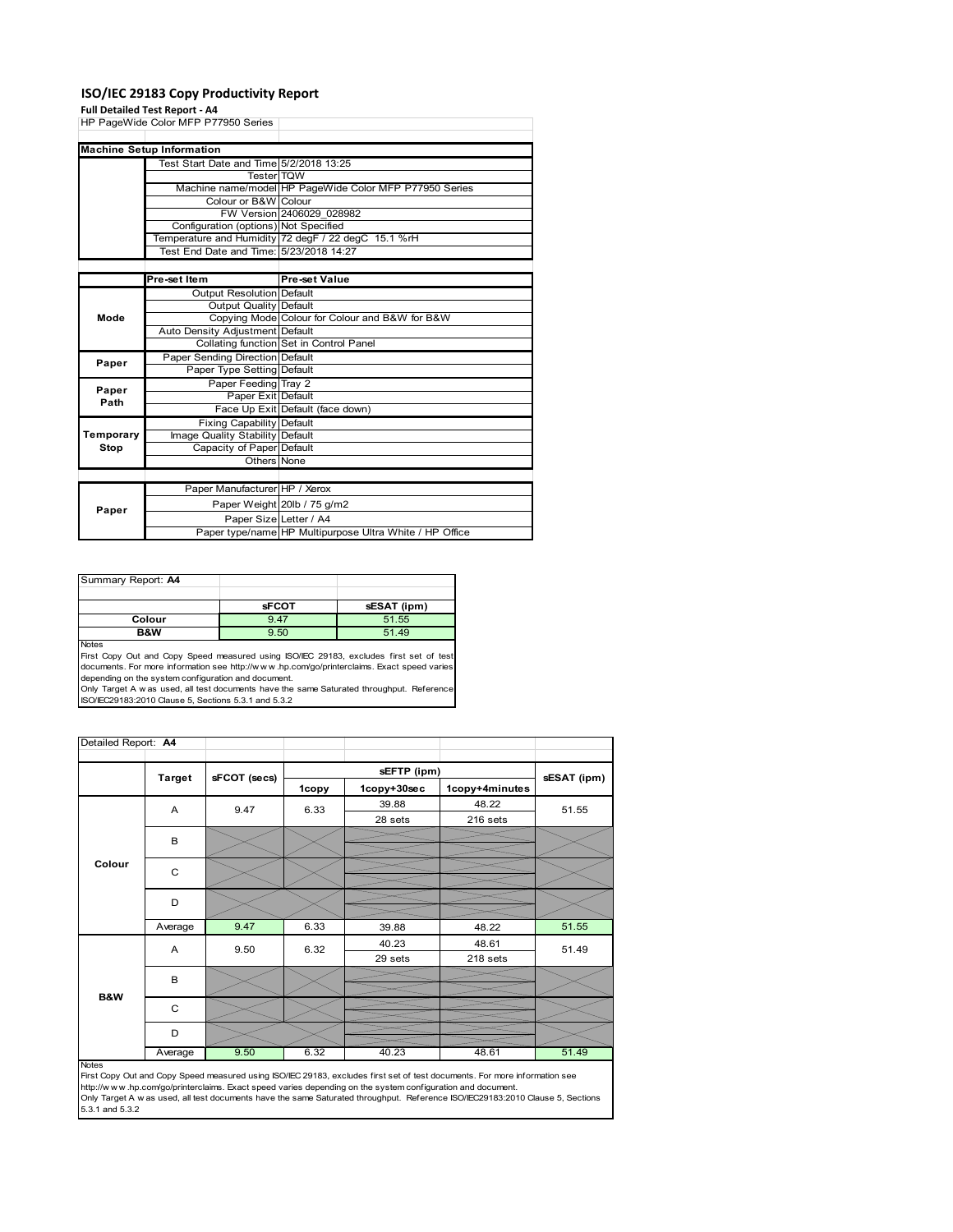### **ISO/IEC 29183 Copy Productivity Report**

#### **Full Detailed Test Report ‐ A4**

|               | HP PageWide Color MFP P77950 Series     |                                                         |
|---------------|-----------------------------------------|---------------------------------------------------------|
|               |                                         |                                                         |
|               | <b>Machine Setup Information</b>        |                                                         |
|               | Test Start Date and Time 5/2/2018 13:25 |                                                         |
|               | <b>Tester</b> TQW                       |                                                         |
|               |                                         | Machine name/model HP PageWide Color MFP P77950 Series  |
|               | Colour or B&W Colour                    |                                                         |
|               |                                         | FW Version 2406029 028982                               |
|               | Configuration (options) Not Specified   |                                                         |
|               |                                         | Temperature and Humidity 72 degF / 22 degC 15.1 %rH     |
|               | Test End Date and Time: 5/23/2018 14:27 |                                                         |
|               |                                         |                                                         |
|               | Pre-set Item                            | Pre-set Value                                           |
|               | Output Resolution Default               |                                                         |
|               | Output Quality Default                  |                                                         |
| Mode          |                                         | Copying Mode Colour for Colour and B&W for B&W          |
|               | Auto Density Adjustment Default         |                                                         |
|               |                                         | Collating function Set in Control Panel                 |
|               | Paper Sending Direction Default         |                                                         |
| Paper         | Paper Type Setting Default              |                                                         |
|               | Paper Feeding Tray 2                    |                                                         |
| Paper<br>Path | Paper Exit Default                      |                                                         |
|               |                                         | Face Up Exit Default (face down)                        |
|               | <b>Fixing Capability Default</b>        |                                                         |
| Temporary     | Image Quality Stability Default         |                                                         |
| Stop          | Capacity of Paper Default               |                                                         |
|               | Others None                             |                                                         |
|               |                                         |                                                         |
|               | Paper Manufacturer HP / Xerox           |                                                         |
|               |                                         | Paper Weight 20lb / 75 g/m2                             |
| Paper         | Paper Size Letter / A4                  |                                                         |
|               |                                         | Paper type/name HP Multipurpose Ultra White / HP Office |

| Summary Report: A4 |              |             |
|--------------------|--------------|-------------|
|                    |              |             |
|                    | <b>sFCOT</b> | sESAT (ipm) |
| Colour             | 9.47         | 51.55       |
| B&W                | 9.50         | 51.49       |
| <b>Notes</b>       |              |             |

Notes<br>First Copy Out and Copy Speed measured using ISO/IEC 29183, excludes first set of test<br>documents. For more information see http://www..hp.com/go/printerclaims. Exact speed varies

depending on the system configuration and document.<br>Only Target A w as used, all test documents have the same Saturated throughput. Reference<br>ISO/IEC29183:2010 Clause 5, Sections 5.3.1 and 5.3.2

| Detailed Report: A4 |                        |              |       |             |                |             |
|---------------------|------------------------|--------------|-------|-------------|----------------|-------------|
|                     |                        |              |       | sEFTP (ipm) |                |             |
|                     | <b>Target</b>          | sFCOT (secs) | 1copy | 1copy+30sec | 1copy+4minutes | sESAT (ipm) |
|                     | A                      | 9.47         | 6.33  | 39.88       | 48.22          | 51.55       |
|                     |                        |              |       | 28 sets     | 216 sets       |             |
|                     | B                      |              |       |             |                |             |
|                     |                        |              |       |             |                |             |
|                     | Colour<br>$\mathsf{C}$ |              |       |             |                |             |
|                     |                        |              |       |             |                |             |
|                     | D                      |              |       |             |                |             |
|                     | Average                | 9.47         | 6.33  | 39.88       | 48.22          | 51.55       |
|                     | A                      | 9.50         | 6.32  | 40.23       | 48.61          | 51.49       |
|                     |                        |              |       | 29 sets     | 218 sets       |             |
|                     | B                      |              |       |             |                |             |
| <b>B&amp;W</b>      |                        |              |       |             |                |             |
|                     | $\mathsf{C}$           |              |       |             |                |             |
|                     | D                      |              |       |             |                |             |
|                     | Average                | 9.50         | 6.32  | 40.23       | 48.61          | 51.49       |

Average 8.50 6.32 40.23 48.61 51.49<br>First Copy Out and Copy Speed measured using ISO/IEC 29183, excludes first set of test documents. For more information see<br>Inttp://www.hp.com/go/printerclaims. Exact speed varies dependi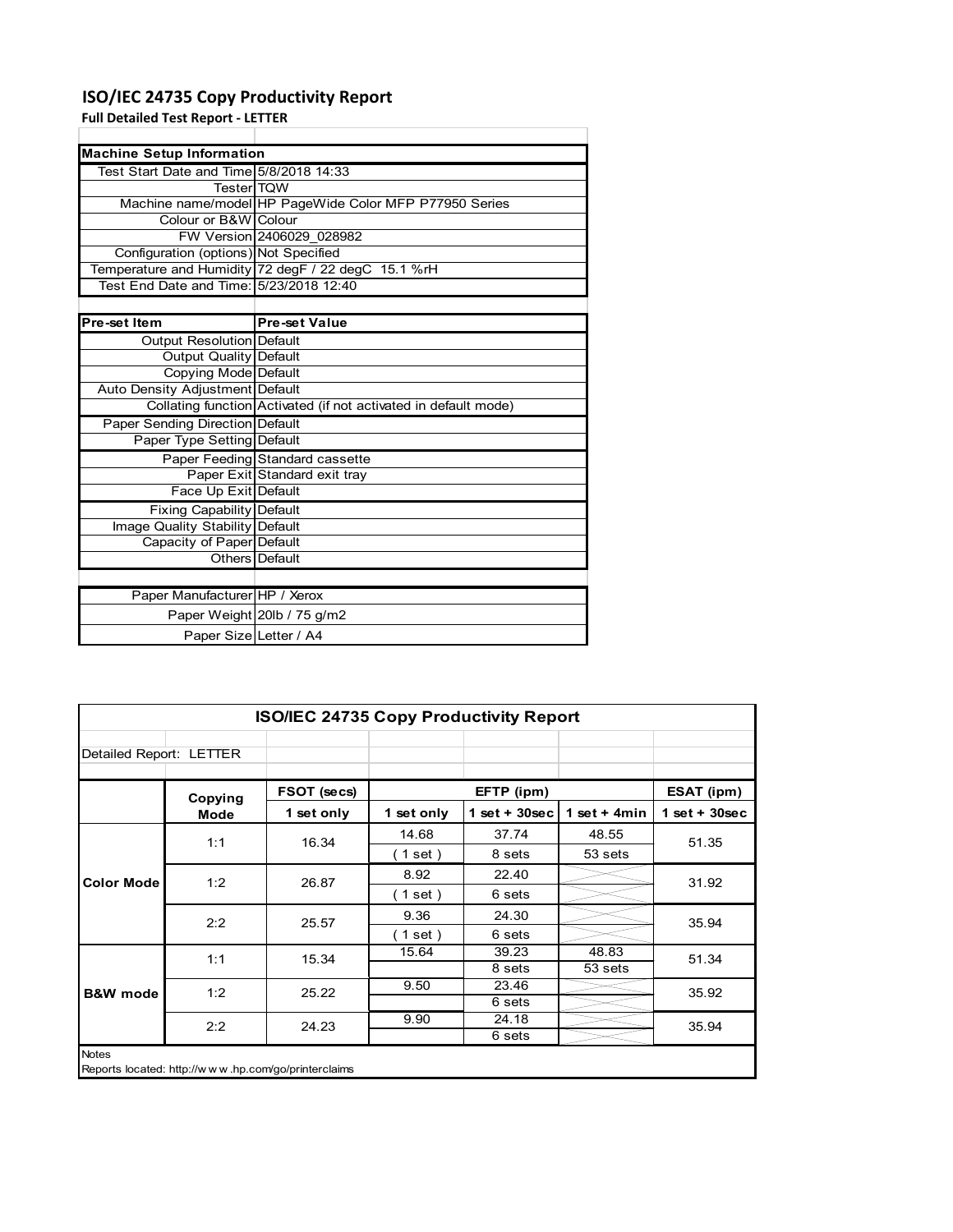### **ISO/IEC 24735 Copy Productivity Report**

**Full Detailed Test Report ‐ LETTER**

|                                         | <b>Machine Setup Information</b>                                |  |  |  |  |  |
|-----------------------------------------|-----------------------------------------------------------------|--|--|--|--|--|
| Test Start Date and Time 5/8/2018 14:33 |                                                                 |  |  |  |  |  |
| <b>TesterITQW</b>                       |                                                                 |  |  |  |  |  |
|                                         | Machine name/model HP PageWide Color MFP P77950 Series          |  |  |  |  |  |
| Colour or B&W Colour                    |                                                                 |  |  |  |  |  |
|                                         | FW Version 2406029 028982                                       |  |  |  |  |  |
| Configuration (options) Not Specified   |                                                                 |  |  |  |  |  |
|                                         | Temperature and Humidity 72 degF / 22 degC 15.1 %rH             |  |  |  |  |  |
| Test End Date and Time: 5/23/2018 12:40 |                                                                 |  |  |  |  |  |
|                                         |                                                                 |  |  |  |  |  |
| Pre-set Item                            | <b>Pre-set Value</b>                                            |  |  |  |  |  |
| Output Resolution Default               |                                                                 |  |  |  |  |  |
| <b>Output Quality Default</b>           |                                                                 |  |  |  |  |  |
| Copying Mode Default                    |                                                                 |  |  |  |  |  |
| Auto Density Adjustment Default         |                                                                 |  |  |  |  |  |
|                                         | Collating function Activated (if not activated in default mode) |  |  |  |  |  |
| Paper Sending Direction Default         |                                                                 |  |  |  |  |  |
| Paper Type Setting Default              |                                                                 |  |  |  |  |  |
|                                         | Paper Feeding Standard cassette                                 |  |  |  |  |  |
|                                         | Paper Exit Standard exit tray                                   |  |  |  |  |  |
| Face Up Exit Default                    |                                                                 |  |  |  |  |  |
| <b>Fixing Capability Default</b>        |                                                                 |  |  |  |  |  |
| Image Quality Stability Default         |                                                                 |  |  |  |  |  |
| Capacity of Paper Default               |                                                                 |  |  |  |  |  |
|                                         | Others Default                                                  |  |  |  |  |  |
|                                         |                                                                 |  |  |  |  |  |
| Paper Manufacturer HP / Xerox           |                                                                 |  |  |  |  |  |
|                                         | Paper Weight 20lb / 75 g/m2                                     |  |  |  |  |  |
| Paper Size Letter / A4                  |                                                                 |  |  |  |  |  |

| <b>ISO/IEC 24735 Copy Productivity Report</b>                |         |             |            |                  |                |                 |
|--------------------------------------------------------------|---------|-------------|------------|------------------|----------------|-----------------|
| Detailed Report: LETTER                                      |         |             |            |                  |                |                 |
|                                                              | Copying | FSOT (secs) |            | EFTP (ipm)       |                | ESAT (ipm)      |
|                                                              | Mode    | 1 set only  | 1 set only | $1 set + 30 sec$ | 1 set $+$ 4min | $1$ set + 30sec |
| <b>Color Mode</b>                                            | 1:1     | 16.34       | 14.68      | 37.74            | 48.55          | 51.35           |
|                                                              |         |             | (1 set)    | 8 sets           | 53 sets        |                 |
|                                                              | 1:2     | 26.87       | 8.92       | 22.40            |                | 31.92           |
|                                                              |         |             | (1 set)    | 6 sets           |                |                 |
|                                                              | 2:2     | 25.57       | 9.36       | 24.30            |                | 35.94           |
|                                                              |         |             | (1 set)    | 6 sets           |                |                 |
|                                                              | 1:1     | 15.34       | 15.64      | 39.23            | 48.83          | 51.34           |
|                                                              |         |             |            | 8 sets           | 53 sets        |                 |
| <b>B&amp;W</b> mode                                          | 1:2     | 25.22       | 9.50       | 23.46            |                | 35.92           |
|                                                              |         |             |            | 6 sets           |                |                 |
|                                                              | 2:2     | 24.23       | 9.90       | 24.18            |                | 35.94           |
|                                                              |         |             |            | 6 sets           |                |                 |
| Notes<br>Reports located: http://www.hp.com/go/printerclaims |         |             |            |                  |                |                 |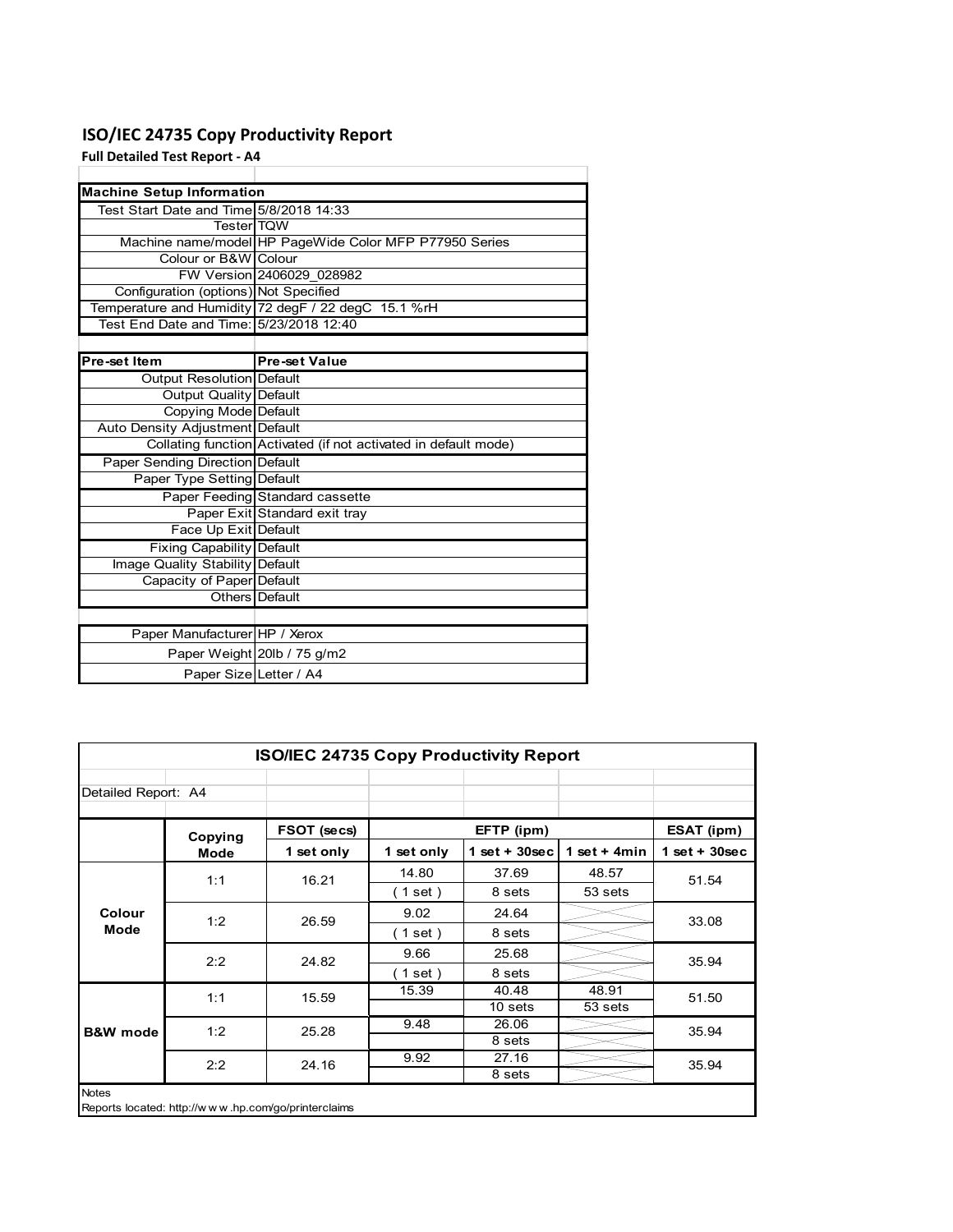### **ISO/IEC 24735 Copy Productivity Report**

**Full Detailed Test Report ‐ A4**

| <b>Machine Setup Information</b>        |                                                                 |
|-----------------------------------------|-----------------------------------------------------------------|
| Test Start Date and Time 5/8/2018 14:33 |                                                                 |
| <b>TesterITQW</b>                       |                                                                 |
|                                         | Machine name/model HP PageWide Color MFP P77950 Series          |
| Colour or B&W Colour                    |                                                                 |
|                                         | FW Version 2406029 028982                                       |
| Configuration (options) Not Specified   |                                                                 |
|                                         | Temperature and Humidity 72 degF / 22 degC 15.1 %rH             |
| Test End Date and Time: 5/23/2018 12:40 |                                                                 |
|                                         |                                                                 |
| Pre-set Item                            | <b>Pre-set Value</b>                                            |
| Output Resolution Default               |                                                                 |
| <b>Output Quality Default</b>           |                                                                 |
| Copying Mode Default                    |                                                                 |
| Auto Density Adjustment Default         |                                                                 |
|                                         | Collating function Activated (if not activated in default mode) |
| Paper Sending Direction Default         |                                                                 |
| Paper Type Setting Default              |                                                                 |
|                                         | Paper Feeding Standard cassette                                 |
|                                         | Paper Exit Standard exit tray                                   |
| Face Up Exit Default                    |                                                                 |
| <b>Fixing Capability Default</b>        |                                                                 |
| Image Quality Stability Default         |                                                                 |
| Capacity of Paper Default               |                                                                 |
|                                         | Others   Default                                                |
|                                         |                                                                 |
| Paper Manufacturer HP / Xerox           |                                                                 |
|                                         | Paper Weight 20lb / 75 g/m2                                     |
| Paper Size Letter / A4                  |                                                                 |

|                     | <b>ISO/IEC 24735 Copy Productivity Report</b> |                                                     |            |                 |                 |                 |
|---------------------|-----------------------------------------------|-----------------------------------------------------|------------|-----------------|-----------------|-----------------|
| Detailed Report: A4 |                                               |                                                     |            |                 |                 |                 |
|                     | Copying                                       | FSOT (secs)                                         |            | EFTP (ipm)      |                 | ESAT (ipm)      |
|                     | Mode                                          | 1 set only                                          | 1 set only | $1$ set + 30sec | 1 set + 4 $min$ | $1$ set + 30sec |
|                     | 1:1                                           | 16.21                                               | 14.80      | 37.69           | 48.57           | 51.54           |
|                     |                                               |                                                     | (1 set)    | 8 sets          | 53 sets         |                 |
| Colour              | 1:2                                           | 26.59                                               | 9.02       | 24.64           |                 | 33.08           |
| Mode                |                                               |                                                     | (1 set )   | 8 sets          |                 |                 |
|                     | 2:2                                           | 24.82                                               | 9.66       | 25.68           |                 | 35.94           |
|                     |                                               |                                                     | (1 set)    | 8 sets          |                 |                 |
|                     | 1:1                                           | 15.59                                               | 15.39      | 40.48           | 48.91           | 51.50           |
|                     |                                               |                                                     |            | 10 sets         | 53 sets         |                 |
| <b>B&amp;W</b> mode | 1:2                                           | 25.28                                               | 9.48       | 26.06           |                 | 35.94           |
|                     |                                               |                                                     |            | 8 sets          |                 |                 |
|                     | 2:2                                           | 24.16                                               | 9.92       | 27.16           |                 | 35.94           |
|                     |                                               |                                                     |            | 8 sets          |                 |                 |
| <b>Notes</b>        |                                               | Reports located: http://www.hp.com/go/printerclaims |            |                 |                 |                 |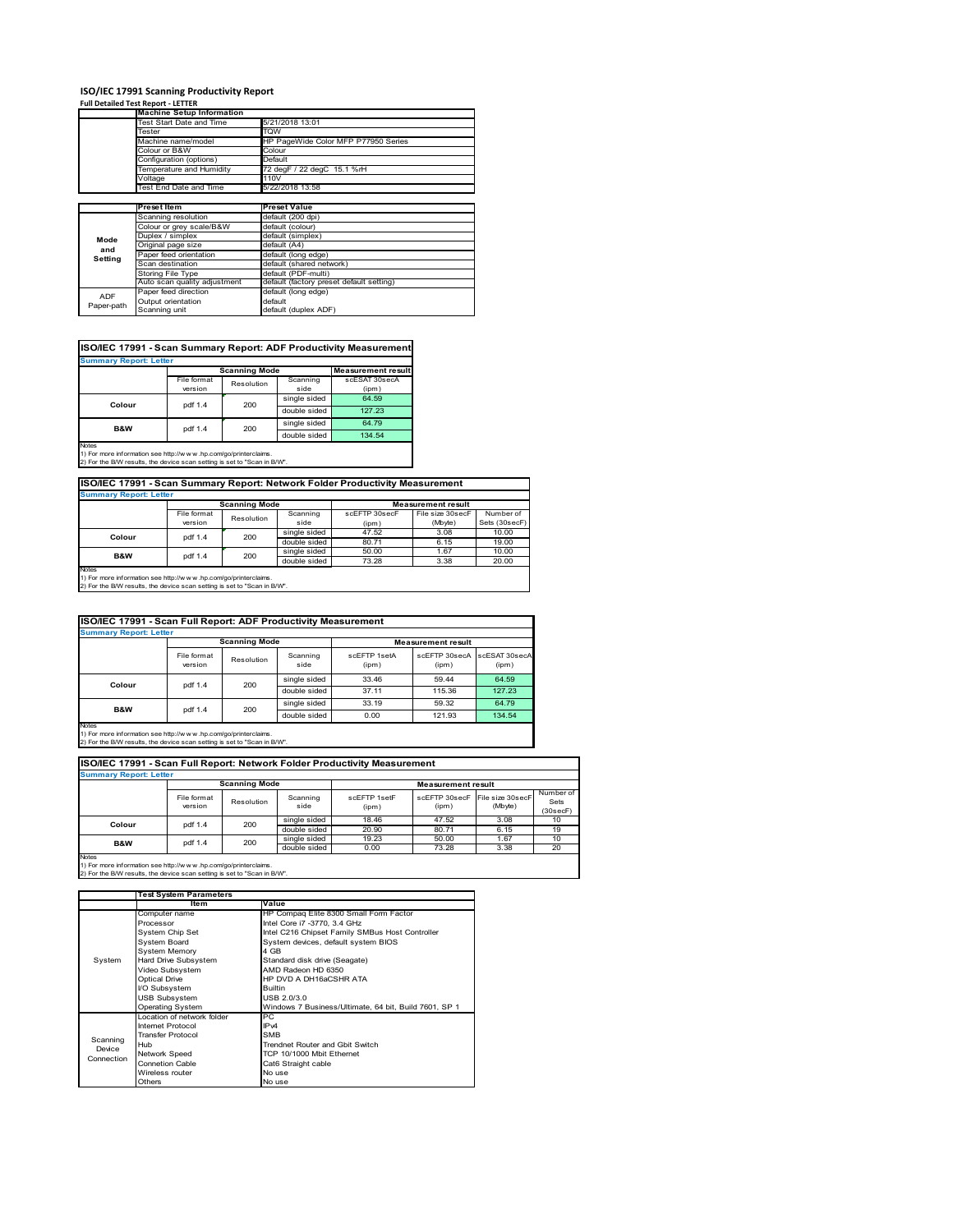# **ISO/IEC 17991 Scanning Productivity Report Full Detailed Test Report ‐ LETTER Machine Setup Information**

|            | <b>Machine Setup Information</b> |                                          |  |  |  |
|------------|----------------------------------|------------------------------------------|--|--|--|
|            | Fest Start Date and Time         | 5/21/2018 13:01                          |  |  |  |
|            | Tester                           | TQW                                      |  |  |  |
|            | Machine name/model               | HP PageWide Color MFP P77950 Series      |  |  |  |
|            | Colour or B&W                    | Colour                                   |  |  |  |
|            | Configuration (options)          | Default                                  |  |  |  |
|            | Temperature and Humidity         | 72 degF / 22 degC 15.1 %rH               |  |  |  |
|            | Voltage                          | 110V                                     |  |  |  |
|            | Test End Date and Time           | 5/22/2018 13:58                          |  |  |  |
|            |                                  |                                          |  |  |  |
|            | <b>Preset Item</b>               | <b>Preset Value</b>                      |  |  |  |
|            | Scanning resolution              | default (200 dpi)                        |  |  |  |
|            | Colour or grey scale/B&W         | default (colour)                         |  |  |  |
| Mode       | Duplex / simplex                 | default (simplex)                        |  |  |  |
| and        | Original page size               | default (A4)                             |  |  |  |
|            | Paper feed orientation           | default (long edge)                      |  |  |  |
| Setting    | Scan destination                 | default (shared network)                 |  |  |  |
|            | <b>Storing File Type</b>         | default (PDF-multi)                      |  |  |  |
|            | Auto scan quality adjustment     | default (factory preset default setting) |  |  |  |
| <b>ADF</b> | Paper feed direction             | default (long edge)                      |  |  |  |
|            | Output orientation               | default                                  |  |  |  |
| Paper-path | Scanning unit                    | default (duplex ADF)                     |  |  |  |

|                               |             |                      |              | ISO/IEC 17991 - Scan Summary Report: ADF Productivity Measurement |  |  |  |
|-------------------------------|-------------|----------------------|--------------|-------------------------------------------------------------------|--|--|--|
| <b>Summary Report: Letter</b> |             |                      |              |                                                                   |  |  |  |
|                               |             | <b>Scanning Mode</b> |              | <b>Measurement result</b>                                         |  |  |  |
|                               | File format | Resolution           | Scanning     | scESAT 30secA                                                     |  |  |  |
|                               | version     |                      | side         | (ipm)                                                             |  |  |  |
| Colour                        | pdf 1.4     | 200                  | single sided | 64.59                                                             |  |  |  |
|                               |             |                      | double sided | 127.23                                                            |  |  |  |
| <b>B&amp;W</b>                | pdf 1.4     | 200                  | single sided | 64.79                                                             |  |  |  |
|                               |             |                      | double sided | 134.54                                                            |  |  |  |
| <b>Notes</b>                  |             |                      |              |                                                                   |  |  |  |

Notes 1) For more information see http://w w w .hp.com/go/printerclaims. 2) For the B/W results, the device scan setting is set to "Scan in B/W".

**ISO/IEC 17991 - Scan Summary Report: Network Folder Productivity Measurement**

| <b>Summary Report: Letter</b> |                      |            |              |                           |                  |               |
|-------------------------------|----------------------|------------|--------------|---------------------------|------------------|---------------|
|                               | <b>Scanning Mode</b> |            |              | <b>Measurement result</b> |                  |               |
|                               | File format          | Resolution | Scanning     | scEFTP 30secF             | File size 30secF | Number of     |
|                               | version              |            | side         | (ipm)                     | (Mbyte)          | Sets (30secF) |
| Colour                        | pdf 1.4              | 200        | single sided | 47.52                     | 3.08             | 10.00         |
|                               |                      |            | double sided | 80.71                     | 6.15             | 19.00         |
| <b>B&amp;W</b>                | pdf 1.4              | 200        | single sided | 50.00                     | 1.67             | 10.00         |
|                               |                      |            | double sided | 73.28                     | 3.38             | 20.00         |
| Notes                         |                      |            |              |                           |                  |               |

┓

Notes 1) For more information see http://w w w .hp.com/go/printerclaims. 2) For the B/W results, the device scan setting is set to "Scan in B/W".

|                               | ISO/IEC 17991 - Scan Full Report: ADF Productivity Measurement |                      |                  |                           |                        |                        |
|-------------------------------|----------------------------------------------------------------|----------------------|------------------|---------------------------|------------------------|------------------------|
| <b>Summary Report: Letter</b> |                                                                |                      |                  |                           |                        |                        |
|                               |                                                                | <b>Scanning Mode</b> |                  | <b>Measurement result</b> |                        |                        |
|                               | File format<br>version                                         | Resolution           | Scanning<br>side | scFFTP 1setA<br>(ipm)     | scEETP 30secA<br>(ipm) | scESAT 30secA<br>(ipm) |
| Colour                        | pdf 1.4                                                        | 200                  | single sided     | 33.46                     | 59.44                  | 64.59                  |
|                               |                                                                |                      | double sided     | 37.11                     | 115.36                 | 127.23                 |
| <b>B&amp;W</b>                |                                                                |                      | single sided     | 33.19                     | 59.32                  | 64.79                  |
|                               | pdf 1.4                                                        | 200                  | double sided     | 0.00                      | 121.93                 | 134.54                 |
| <b>Notes</b>                  |                                                                |                      |                  |                           |                        |                        |

Notes 1) For more information see http://w w w .hp.com/go/printerclaims. 2) For the B/W results, the device scan setting is set to "Scan in B/W".

| ISO/IEC 17991 - Scan Full Report: Network Folder Productivity Measurement |                               |                      |                  |                       |                                         |         |                               |  |
|---------------------------------------------------------------------------|-------------------------------|----------------------|------------------|-----------------------|-----------------------------------------|---------|-------------------------------|--|
|                                                                           | <b>Summary Report: Letter</b> |                      |                  |                       |                                         |         |                               |  |
|                                                                           |                               | <b>Scanning Mode</b> |                  |                       | <b>Measurement result</b>               |         |                               |  |
|                                                                           | File format<br>version        | Resolution           | Scanning<br>side | scEETP 1setE<br>(ipm) | scEFTP 30secF File size 30secF<br>(ipm) | (Mbyte) | Number of<br>Sets<br>(30secF) |  |
| Colour                                                                    | pdf 1.4                       | 200                  | single sided     | 18.46                 | 47.52                                   | 3.08    | 10                            |  |
|                                                                           |                               |                      | double sided     | 20.90                 | 80.71                                   | 6.15    | 19                            |  |
| <b>B&amp;W</b>                                                            | 200<br>pdf 1.4                | single sided         | 19.23            | 50.00                 | 1.67                                    | 10      |                               |  |
|                                                                           |                               |                      | double sided     | 0.00                  | 73.28                                   | 3.38    | 20                            |  |
| <b>Notes</b>                                                              |                               |                      |                  |                       |                                         |         |                               |  |

|                                  | <b>Test System Parameters</b>                                                                                                                                                              |                                                                                                                                                                                                                                                                                            |
|----------------------------------|--------------------------------------------------------------------------------------------------------------------------------------------------------------------------------------------|--------------------------------------------------------------------------------------------------------------------------------------------------------------------------------------------------------------------------------------------------------------------------------------------|
|                                  | <b>Item</b>                                                                                                                                                                                | Value                                                                                                                                                                                                                                                                                      |
| System                           | Computer name<br>Processor<br>System Chip Set<br>System Board<br><b>System Memory</b><br>Hard Drive Subsystem<br>Video Subsystem<br>Optical Drive<br>I/O Subsystem<br><b>USB Subsystem</b> | HP Compaq Elite 8300 Small Form Factor<br>Intel Core i7 -3770, 3.4 GHz<br>Intel C216 Chipset Family SMBus Host Controller<br>System devices, default system BIOS<br>4 GB<br>Standard disk drive (Seagate)<br>AMD Radeon HD 6350<br>HP DVD A DH16aCSHR ATA<br><b>Builtin</b><br>USB 2.0/3.0 |
|                                  | Operating System                                                                                                                                                                           | Windows 7 Business/Ultimate, 64 bit, Build 7601, SP 1                                                                                                                                                                                                                                      |
| Scanning<br>Device<br>Connection | Location of network folder<br>Internet Protocol<br><b>Transfer Protocol</b><br>Hub<br>Network Speed<br><b>Connetion Cable</b><br>Wireless router<br>Others                                 | PC<br>IP <sub>v4</sub><br><b>SMB</b><br>Trendnet Router and Gbit Switch<br>TCP 10/1000 Mbit Ethernet<br>Cat6 Straight cable<br>No use<br>No use                                                                                                                                            |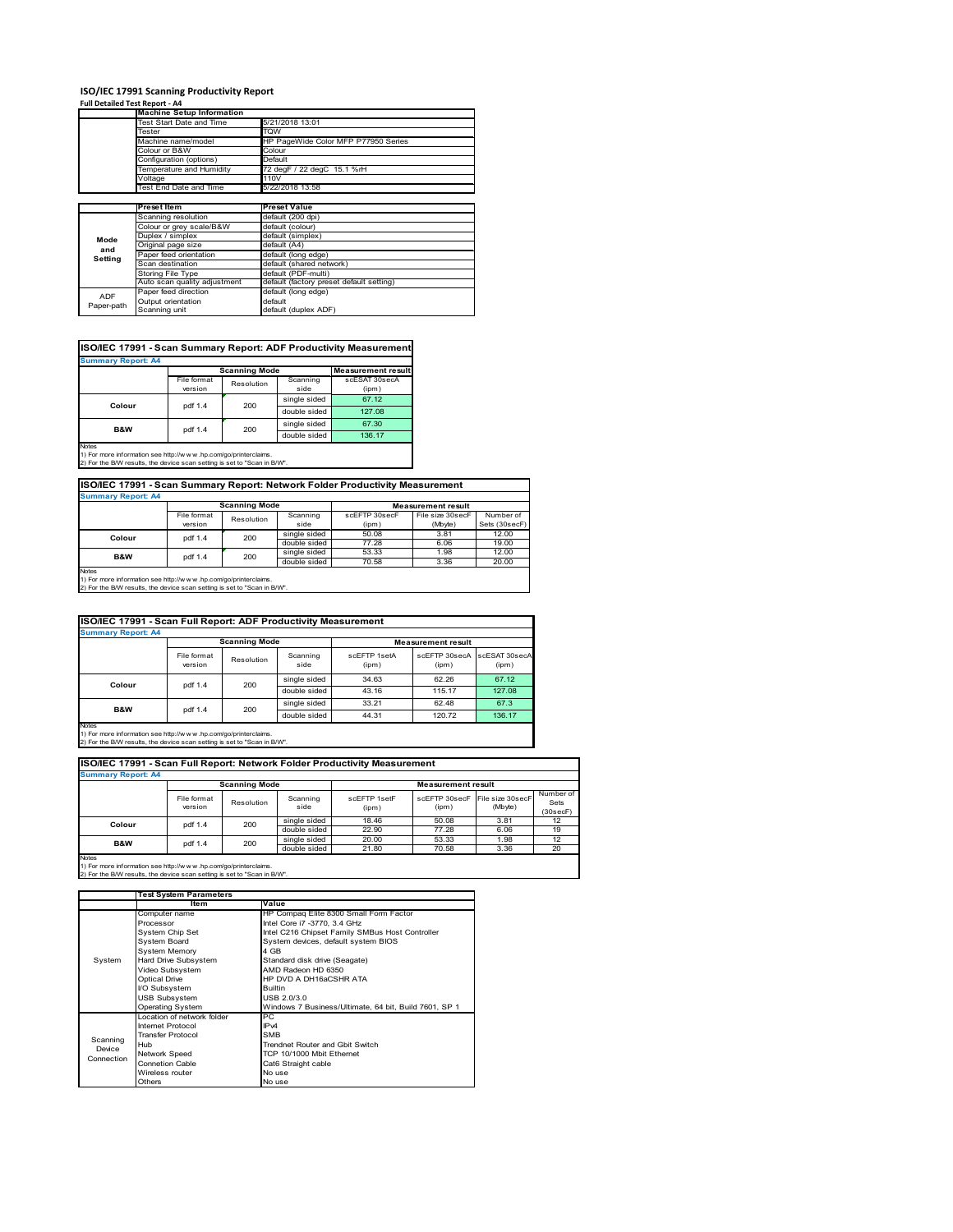# **ISO/IEC 17991 Scanning Productivity Report Full Detailed Test Report ‐ A4 Machine Setup Information**

|            | <b>Machine Setup Information</b> |                                          |
|------------|----------------------------------|------------------------------------------|
|            | Test Start Date and Time         | 5/21/2018 13:01                          |
|            | Tester                           | TQW                                      |
|            | Machine name/model               | HP PageWide Color MFP P77950 Series      |
|            | Colour or B&W                    | Colour                                   |
|            | Configuration (options)          | Default                                  |
|            | Temperature and Humidity         | 72 degF / 22 degC 15.1 %rH               |
|            | Voltage                          | 110V                                     |
|            | Test End Date and Time           | 5/22/2018 13:58                          |
|            |                                  |                                          |
|            | <b>Preset Item</b>               | <b>Preset Value</b>                      |
|            | Scanning resolution              | default (200 dpi)                        |
|            | Colour or grey scale/B&W         | default (colour)                         |
| Mode       | Duplex / simplex                 | default (simplex)                        |
|            | Original page size               | default (A4)                             |
| and        | Paper feed orientation           | default (long edge)                      |
| Setting    | Scan destination                 | default (shared network)                 |
|            | Storing File Type                | default (PDF-multi)                      |
|            | Auto scan quality adjustment     | default (factory preset default setting) |
| <b>ADF</b> | Paper feed direction             | default (long edge)                      |
|            | Output orientation               | default                                  |
| Paper-path | Scanning unit                    | default (duplex ADF)                     |

| ISO/IEC 17991 - Scan Summary Report: ADF Productivity Measurement<br><b>Summary Report: A4</b> |             |            |              |               |  |  |  |
|------------------------------------------------------------------------------------------------|-------------|------------|--------------|---------------|--|--|--|
|                                                                                                |             |            |              |               |  |  |  |
|                                                                                                | File format | Resolution | Scanning     | scESAT 30secA |  |  |  |
|                                                                                                | version     |            | side         | (ipm)         |  |  |  |
| Colour                                                                                         | pdf 1.4     | 200        | single sided | 67.12         |  |  |  |
|                                                                                                |             |            | double sided | 127.08        |  |  |  |
| B&W                                                                                            | pdf 1.4     | 200        | single sided | 67.30         |  |  |  |
|                                                                                                |             |            | double sided | 136.17        |  |  |  |
| Notes                                                                                          |             |            |              |               |  |  |  |

Notes 1) For more information see http://w w w .hp.com/go/printerclaims. 2) For the B/W results, the device scan setting is set to "Scan in B/W".

| ISO/IEC 17991 - Scan Summary Report: Network Folder Productivity Measurement |             |                      |                             |               |                           |               |
|------------------------------------------------------------------------------|-------------|----------------------|-----------------------------|---------------|---------------------------|---------------|
| <b>Summary Report: A4</b>                                                    |             |                      |                             |               |                           |               |
|                                                                              |             | <b>Scanning Mode</b> |                             |               | <b>Measurement result</b> |               |
|                                                                              | File format | Resolution           | Scanning                    | scEFTP 30secF | File size 30secF          | Number of     |
|                                                                              | version     |                      | side                        | (ipm)         | (Mbyte)                   | Sets (30secF) |
| Colour                                                                       | ndf 1.4     | 200                  | single sided                | 50.08         | 3.81                      | 12.00         |
|                                                                              |             | .                    | $\rightarrow$ $\rightarrow$ | 0.00          | $\sim$ $\sim$             |               |

double sided 77.28 6.06 19.00 single sided  $\begin{array}{|l} 53.33 \end{array}$  1.98 12.00<br>double sided 70.58 3.36 20.00 double sided 70.58 3.36 20.00 Notes 1) For more information see http://w w w .hp.com/go/printerclaims. 2) For the B/W results, the device scan setting is set to "Scan in B/W". **B&W** pdf 1.4 200

|                           | ISO/IEC 17991 - Scan Full Report: ADF Productivity Measurement |                      |                  |                       |                           |                        |  |  |
|---------------------------|----------------------------------------------------------------|----------------------|------------------|-----------------------|---------------------------|------------------------|--|--|
| <b>Summary Report: A4</b> |                                                                |                      |                  |                       |                           |                        |  |  |
|                           |                                                                | <b>Scanning Mode</b> |                  |                       | <b>Measurement result</b> |                        |  |  |
|                           | File format<br>version                                         | Resolution           | Scanning<br>side | scFFTP 1setA<br>(ipm) | scEETP 30secA<br>(ipm)    | scESAT 30secA<br>(ipm) |  |  |
| Colour                    |                                                                | 200<br>pdf 1.4       | single sided     | 34.63                 | 62.26                     | 67.12                  |  |  |
|                           |                                                                |                      | double sided     | 43.16                 | 115.17                    | 127.08                 |  |  |
| <b>B&amp;W</b>            |                                                                |                      | single sided     | 33.21                 | 62.48                     | 67.3                   |  |  |
|                           | 200<br>pdf 1.4                                                 |                      | double sided     | 44.31                 | 120.72                    | 136.17                 |  |  |
| <b>Notes</b>              |                                                                |                      |                  |                       |                           |                        |  |  |

Notes 1) For more information see http://w w w .hp.com/go/printerclaims. 2) For the B/W results, the device scan setting is set to "Scan in B/W".

| ISO/IEC 17991 - Scan Full Report: Network Folder Productivity Measurement |                        |                      |                  |                       |                           |                             |                               |
|---------------------------------------------------------------------------|------------------------|----------------------|------------------|-----------------------|---------------------------|-----------------------------|-------------------------------|
| <b>Summary Report: A4</b>                                                 |                        |                      |                  |                       |                           |                             |                               |
|                                                                           |                        | <b>Scanning Mode</b> |                  |                       | <b>Measurement result</b> |                             |                               |
|                                                                           | File format<br>version | Resolution           | Scanning<br>side | scFFTP 1setF<br>(ipm) | scEFTP 30secF<br>(ipm)    | File size 30secF<br>(Mbyte) | Number of<br>Sets<br>(30secF) |
| Colour                                                                    | pdf 1.4                | 200                  | single sided     | 18.46                 | 50.08                     | 3.81                        | 12 <sup>2</sup>               |
|                                                                           |                        |                      | double sided     | 22.90                 | 77.28                     | 6.06                        | 19                            |
| <b>B&amp;W</b>                                                            | 200<br>pdf 1.4         | single sided         | 20.00            | 53.33                 | 1.98                      | 12                          |                               |
|                                                                           |                        |                      | double sided     | 21.80                 | 70.58                     | 3.36                        | 20                            |
| <b>Notes</b>                                                              |                        |                      |                  |                       |                           |                             |                               |

|            | <b>Test System Parameters</b> |                                                       |  |  |
|------------|-------------------------------|-------------------------------------------------------|--|--|
|            | Item                          | Value                                                 |  |  |
|            | Computer name                 | HP Compaq Elite 8300 Small Form Factor                |  |  |
|            | Processor                     | Intel Core i7 -3770, 3.4 GHz                          |  |  |
|            | System Chip Set               | Intel C216 Chipset Family SMBus Host Controller       |  |  |
|            | System Board                  | System devices, default system BIOS                   |  |  |
|            | <b>System Memory</b>          | 4 GB                                                  |  |  |
| System     | Hard Drive Subsystem          | Standard disk drive (Seagate)                         |  |  |
|            | Video Subsystem               | AMD Radeon HD 6350                                    |  |  |
|            | <b>Optical Drive</b>          | HP DVD A DH16aCSHR ATA                                |  |  |
|            | I/O Subsystem                 | <b>Builtin</b>                                        |  |  |
|            | <b>USB Subsystem</b>          | USB 2.0/3.0                                           |  |  |
|            | <b>Operating System</b>       | Windows 7 Business/Ultimate, 64 bit, Build 7601, SP 1 |  |  |
|            | Location of network folder    | PC.                                                   |  |  |
|            | Internet Protocol             | IP <sub>v4</sub>                                      |  |  |
| Scanning   | <b>Transfer Protocol</b>      | <b>SMB</b>                                            |  |  |
| Device     | Hub                           | Trendnet Router and Gbit Switch                       |  |  |
| Connection | Network Speed                 | TCP 10/1000 Mbit Ethernet                             |  |  |
|            | <b>Connetion Cable</b>        | Cat6 Straight cable                                   |  |  |
|            | Wireless router               | No use                                                |  |  |
|            | Others                        | No use                                                |  |  |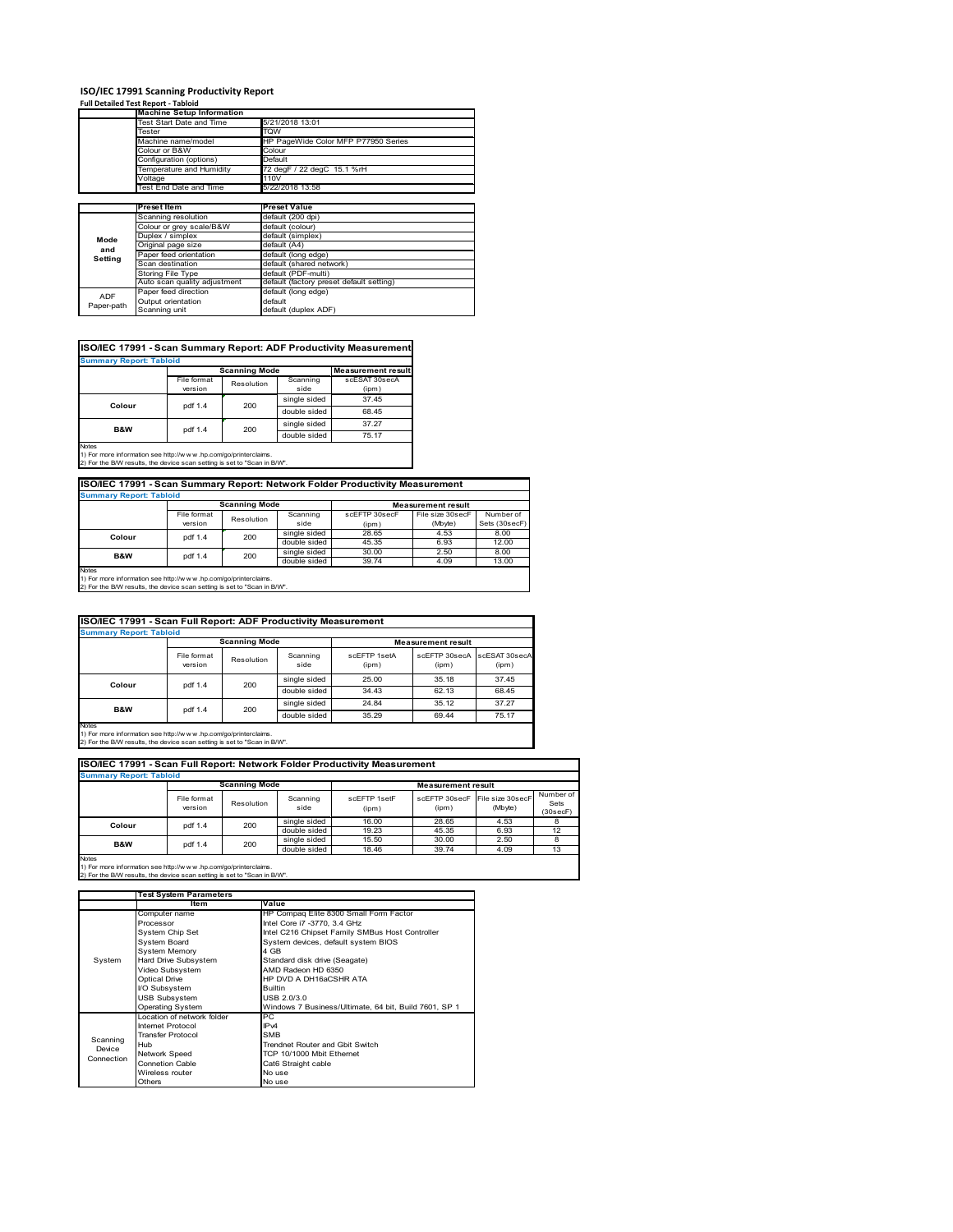# **ISO/IEC 17991 Scanning Productivity Report Full Detailed Test Report ‐ Tabloid Machine Setup Information**

|            | <b>Machine Setup Information</b> |                                          |
|------------|----------------------------------|------------------------------------------|
|            | Test Start Date and Time         | 5/21/2018 13:01                          |
|            | Tester                           | TQW                                      |
|            | Machine name/model               | HP PageWide Color MFP P77950 Series      |
|            | Colour or B&W                    | Colour                                   |
|            | Configuration (options)          | Default                                  |
|            | Temperature and Humidity         | 72 degF / 22 degC 15.1 %rH               |
|            | Voltage                          | 110V                                     |
|            | Test End Date and Time           | 5/22/2018 13:58                          |
|            |                                  |                                          |
|            | Preset Item                      | <b>Preset Value</b>                      |
|            | Scanning resolution              | default (200 dpi)                        |
|            | Colour or grey scale/B&W         | default (colour)                         |
| Mode       | Duplex / simplex                 | default (simplex)                        |
| and        | Original page size               | default (A4)                             |
| Setting    | Paper feed orientation           | default (long edge)                      |
|            | Scan destination                 | default (shared network)                 |
|            | Storing File Type                | default (PDF-multi)                      |
|            | Auto scan quality adjustment     | default (factory preset default setting) |
| <b>ADF</b> | Paper feed direction             | default (long edge)                      |
|            | Output orientation               | default                                  |
| Paper-path | Scanning unit                    | default (duplex ADF)                     |

| <b>Summary Report: Tabloid</b> |             |                      |              |                           |
|--------------------------------|-------------|----------------------|--------------|---------------------------|
|                                |             | <b>Scanning Mode</b> |              | <b>Measurement result</b> |
|                                | File format | Resolution           | Scanning     | scESAT 30secA             |
|                                | version     |                      | side         | (ipm)                     |
|                                | pdf 1.4     | 200                  | single sided | 37.45                     |
| Colour                         |             |                      | double sided | 68.45                     |
| <b>B&amp;W</b>                 | pdf 1.4     | 200                  | single sided | 37.27                     |
|                                |             |                      | double sided | 75.17                     |
| <b>Notes</b>                   |             |                      |              |                           |

1) For more information see http://w w w .hp.com/go/printerclaims. 2) For the B/W results, the device scan setting is set to "Scan in B/W".

| ISO/IEC 17991 - Scan Summary Report: Network Folder Productivity Measurement |                        |            |                  |                           |                             |                            |  |
|------------------------------------------------------------------------------|------------------------|------------|------------------|---------------------------|-----------------------------|----------------------------|--|
| <b>Summary Report: Tabloid</b>                                               |                        |            |                  |                           |                             |                            |  |
| <b>Scanning Mode</b>                                                         |                        |            |                  | <b>Measurement result</b> |                             |                            |  |
|                                                                              | File format<br>version | Resolution | Scanning<br>side | scEFTP 30secF<br>(ipm)    | File size 30secF<br>(Mbyte) | Number of<br>Sets (30secF) |  |
| Colour                                                                       | pdf 1.4                | 200        | single sided     | 28.65                     | 4.53                        | 8.00                       |  |
|                                                                              |                        |            | double sided     | 45.35                     | 6.93                        | 12.00                      |  |
| <b>B&amp;W</b>                                                               | pdf 1.4                | 200        | single sided     | 30.00                     | 2.50                        | 8.00                       |  |
|                                                                              |                        |            | double sided     | 39.74                     | 4.09                        | 13.00                      |  |
| Motor                                                                        |                        |            |                  |                           |                             |                            |  |

Notes 1) For more information see http://w w w .hp.com/go/printerclaims. 2) For the B/W results, the device scan setting is set to "Scan in B/W".

| ISO/IEC 17991 - Scan Full Report: ADF Productivity Measurement                                                                                              |                        |                      |                  |                       |                           |                        |  |  |
|-------------------------------------------------------------------------------------------------------------------------------------------------------------|------------------------|----------------------|------------------|-----------------------|---------------------------|------------------------|--|--|
| <b>Summary Report: Tabloid</b>                                                                                                                              |                        |                      |                  |                       |                           |                        |  |  |
|                                                                                                                                                             |                        | <b>Scanning Mode</b> |                  |                       | <b>Measurement result</b> |                        |  |  |
|                                                                                                                                                             | File format<br>version | Resolution           | Scanning<br>side | scFFTP 1setA<br>(ipm) | scEETP 30secA<br>(ipm)    | scESAT 30secA<br>(ipm) |  |  |
|                                                                                                                                                             |                        | 200                  | single sided     | 25.00                 | 35.18                     | 37.45                  |  |  |
| Colour                                                                                                                                                      | pdf 1.4                |                      | double sided     | 34.43                 | 62.13                     | 68.45                  |  |  |
|                                                                                                                                                             |                        |                      | single sided     | 24.84                 | 35.12                     | 37.27                  |  |  |
| B&W                                                                                                                                                         |                        | 200<br>pdf 1.4       | double sided     | 35.29                 | 69.44                     | 75.17                  |  |  |
| <b>Notes</b><br>1) For more information see http://www.hp.com/go/printerclaims.<br>2) For the B/W results, the device scan setting is set to "Scan in B/W". |                        |                      |                  |                       |                           |                        |  |  |

| ISO/IEC 17991 - Scan Full Report: Network Folder Productivity Measurement<br><b>Summary Report: Tabloid</b> |                        |                      |                  |                       |                           |                              |                               |
|-------------------------------------------------------------------------------------------------------------|------------------------|----------------------|------------------|-----------------------|---------------------------|------------------------------|-------------------------------|
|                                                                                                             |                        | <b>Scanning Mode</b> |                  |                       | <b>Measurement result</b> |                              |                               |
|                                                                                                             | File format<br>version | Resolution           | Scanning<br>side | scEFTP 1setF<br>(ipm) | scEFTP 30secF<br>(ipm)    | File size 30 secF<br>(Mbyte) | Number of<br>Sets<br>(30secF) |
| Colour                                                                                                      | pdf 1.4                | 200                  | single sided     | 16.00                 | 28.65                     | 4.53                         |                               |
|                                                                                                             |                        |                      | double sided     | 19.23                 | 45.35                     | 6.93                         | 12                            |
| <b>B&amp;W</b><br>pdf 1.4                                                                                   | 200                    | single sided         | 15.50            | 30.00                 | 2.50                      |                              |                               |
|                                                                                                             |                        |                      | double sided     | 18.46                 | 39.74                     | 4.09                         | 13                            |
| <b>Notes</b>                                                                                                |                        |                      |                  |                       |                           |                              |                               |

|            | Test System Parameters     |                                                       |  |  |
|------------|----------------------------|-------------------------------------------------------|--|--|
|            | Item                       | Value                                                 |  |  |
|            | Computer name              | HP Compaq Elite 8300 Small Form Factor                |  |  |
|            | Processor                  | Intel Core i7 -3770, 3.4 GHz                          |  |  |
|            | System Chip Set            | Intel C216 Chipset Family SMBus Host Controller       |  |  |
|            | System Board               | System devices, default system BIOS                   |  |  |
|            | <b>System Memory</b>       | 4 GB                                                  |  |  |
| System     | Hard Drive Subsystem       | Standard disk drive (Seagate)                         |  |  |
|            | Video Subsystem            | AMD Radeon HD 6350                                    |  |  |
|            | Optical Drive              | HP DVD A DH16aCSHR ATA                                |  |  |
|            | I/O Subsystem              | <b>Builtin</b>                                        |  |  |
|            | <b>USB Subsystem</b>       | USB 2.0/3.0                                           |  |  |
|            | <b>Operating System</b>    | Windows 7 Business/Ultimate, 64 bit, Build 7601, SP 1 |  |  |
|            | Location of network folder | PC.                                                   |  |  |
|            | Internet Protocol          | IP <sub>v4</sub>                                      |  |  |
| Scanning   | <b>Transfer Protocol</b>   | <b>SMB</b>                                            |  |  |
| Device     | Hub                        | Trendnet Router and Gbit Switch                       |  |  |
| Connection | Network Speed              | TCP 10/1000 Mbit Ethernet                             |  |  |
|            | <b>Connetion Cable</b>     | Cat6 Straight cable                                   |  |  |
|            | Wireless router            | No use                                                |  |  |
|            | Others                     | No use                                                |  |  |